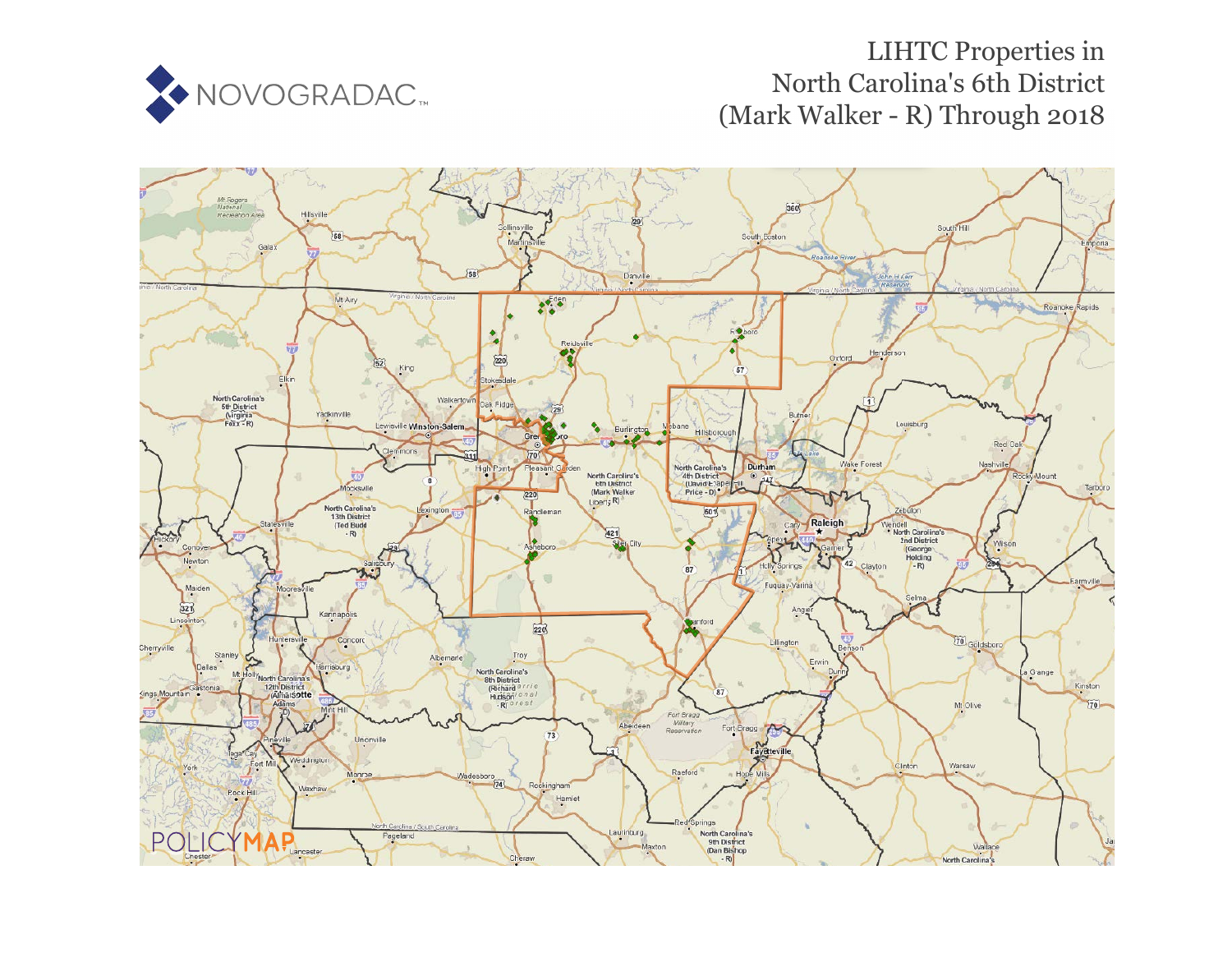

# LIHTC Properties in Nor[th](https://www.policymap.com/our-data-directory.html#HUD%20LIHTC) Carolina's 6th District (Mark Walker - R) Through 2018

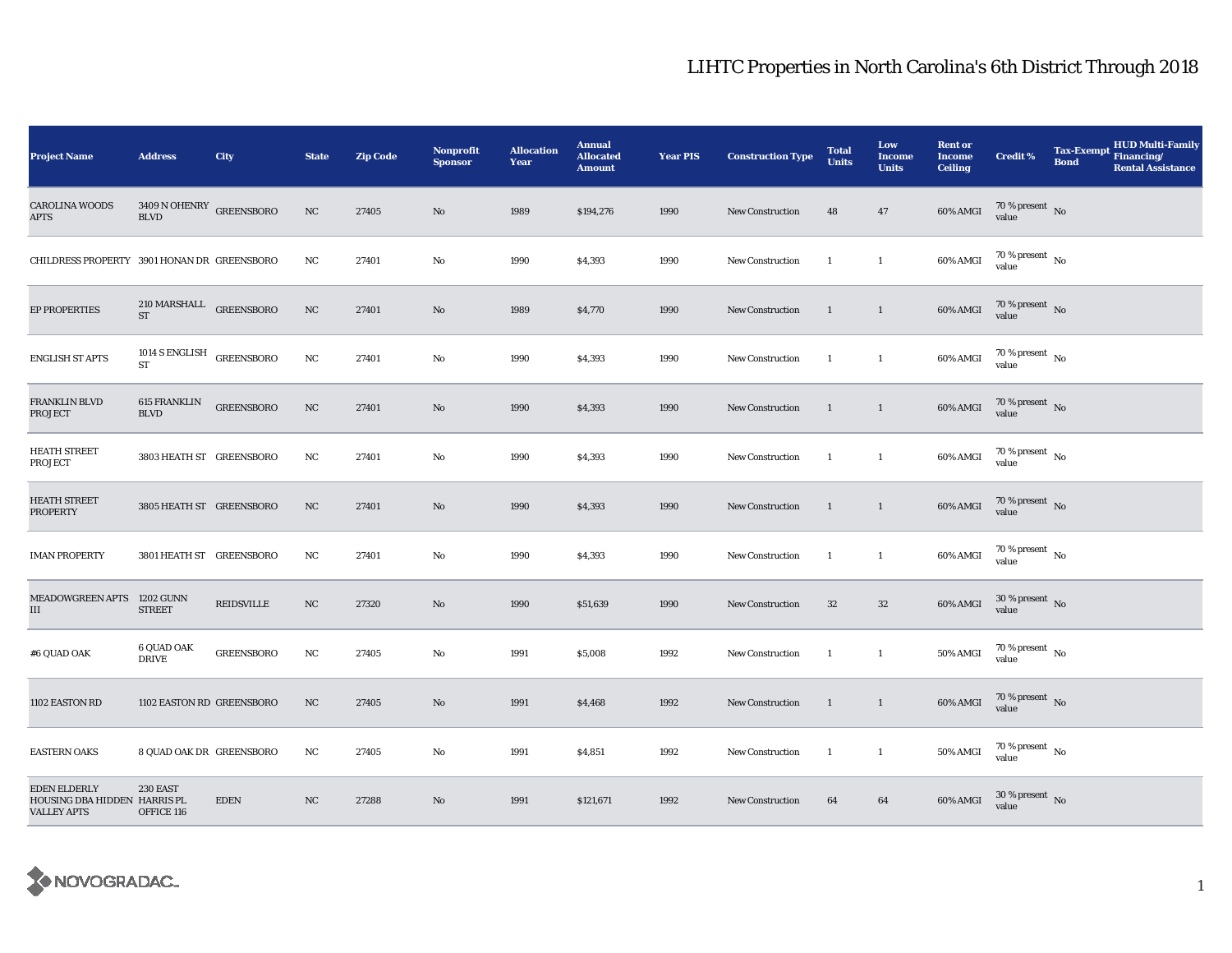| <b>Project Name</b>                                                       | <b>Address</b>                                 | City              | <b>State</b> | <b>Zip Code</b> | <b>Nonprofit</b><br><b>Sponsor</b> | <b>Allocation</b><br>Year | <b>Annual</b><br><b>Allocated</b><br><b>Amount</b> | <b>Year PIS</b> | <b>Construction Type</b> | <b>Total</b><br><b>Units</b> | Low<br><b>Income</b><br><b>Units</b> | <b>Rent or</b><br><b>Income</b><br><b>Ceiling</b> | <b>Credit %</b>                        | <b>Tax-Exempt</b><br>Financing/<br><b>Bond</b><br><b>Rental Assistance</b> | <b>HUD Multi-Family</b> |
|---------------------------------------------------------------------------|------------------------------------------------|-------------------|--------------|-----------------|------------------------------------|---------------------------|----------------------------------------------------|-----------------|--------------------------|------------------------------|--------------------------------------|---------------------------------------------------|----------------------------------------|----------------------------------------------------------------------------|-------------------------|
| <b>CAROLINA WOODS</b><br><b>APTS</b>                                      | $3409$ N OHENRY $\,$ GREENSBORO<br><b>BLVD</b> |                   | $_{\rm NC}$  | 27405           | No                                 | 1989                      | \$194,276                                          | 1990            | New Construction         | 48                           | 47                                   | 60% AMGI                                          | $70\,\%$ present $\,$ No value         |                                                                            |                         |
| CHILDRESS PROPERTY 3901 HONAN DR GREENSBORO                               |                                                |                   | NC           | 27401           | No                                 | 1990                      | \$4,393                                            | 1990            | <b>New Construction</b>  | $\mathbf{1}$                 | $\mathbf{1}$                         | 60% AMGI                                          | $70\,\%$ present $\,$ No $\,$<br>value |                                                                            |                         |
| <b>EP PROPERTIES</b>                                                      | $210$ MARSHALL GREENSBORO<br>${\rm ST}$        |                   | $_{\rm NC}$  | 27401           | No                                 | 1989                      | \$4,770                                            | 1990            | <b>New Construction</b>  | $\mathbf{1}$                 | $\mathbf{1}$                         | 60% AMGI                                          | $70$ % present $_{\rm{No}}$            |                                                                            |                         |
| <b>ENGLISH ST APTS</b>                                                    | 1014 S ENGLISH GREENSBORO<br>ST                |                   | NC           | 27401           | No                                 | 1990                      | \$4,393                                            | 1990            | <b>New Construction</b>  | $\mathbf{1}$                 | $\mathbf{1}$                         | 60% AMGI                                          | $70$ % present $\,$ No $\,$<br>value   |                                                                            |                         |
| <b>FRANKLIN BLVD</b><br><b>PROJECT</b>                                    | <b>615 FRANKLIN</b><br><b>BLVD</b>             | <b>GREENSBORO</b> | NC           | 27401           | No                                 | 1990                      | \$4,393                                            | 1990            | <b>New Construction</b>  | -1                           | $\mathbf{1}$                         | 60% AMGI                                          | $70\,\%$ present $\,$ No value         |                                                                            |                         |
| <b>HEATH STREET</b><br>PROJECT                                            | 3803 HEATH ST GREENSBORO                       |                   | NC           | 27401           | No                                 | 1990                      | \$4,393                                            | 1990            | New Construction         | $\mathbf{1}$                 | $\mathbf{1}$                         | 60% AMGI                                          | $70$ % present $_{\, \rm No}$<br>value |                                                                            |                         |
| <b>HEATH STREET</b><br><b>PROPERTY</b>                                    | 3805 HEATH ST GREENSBORO                       |                   | NC           | 27401           | No                                 | 1990                      | \$4,393                                            | 1990            | New Construction         | $\mathbf{1}$                 | $\mathbf{1}$                         | 60% AMGI                                          | $70$ % present $$\rm{No}$$ value       |                                                                            |                         |
| <b>IMAN PROPERTY</b>                                                      | 3801 HEATH ST GREENSBORO                       |                   | $_{\rm NC}$  | 27401           | No                                 | 1990                      | \$4,393                                            | 1990            | New Construction         | <sup>1</sup>                 | $\mathbf{1}$                         | 60% AMGI                                          | 70 % present $\,$ No $\,$<br>value     |                                                                            |                         |
| <b>MEADOWGREEN APTS</b><br>III                                            | <b>1202 GUNN</b><br><b>STREET</b>              | REIDSVILLE        | $_{\rm NC}$  | 27320           | No                                 | 1990                      | \$51,639                                           | 1990            | <b>New Construction</b>  | 32                           | $32\,$                               | 60% AMGI                                          | $30$ % present $\,$ No value           |                                                                            |                         |
| #6 QUAD OAK                                                               | 6 QUAD OAK<br><b>DRIVE</b>                     | <b>GREENSBORO</b> | $_{\rm NC}$  | 27405           | No                                 | 1991                      | \$5,008                                            | 1992            | <b>New Construction</b>  | 1                            | $\mathbf{1}$                         | 50% AMGI                                          | $70$ % present $\,$ No $\,$<br>value   |                                                                            |                         |
| 1102 EASTON RD                                                            | 1102 EASTON RD GREENSBORO                      |                   | NC           | 27405           | No                                 | 1991                      | \$4,468                                            | 1992            | <b>New Construction</b>  | $\mathbf{1}$                 | $\mathbf{1}$                         | 60% AMGI                                          | $70$ % present $_{\rm{No}}$            |                                                                            |                         |
| <b>EASTERN OAKS</b>                                                       | 8 QUAD OAK DR GREENSBORO                       |                   | NC           | 27405           | No                                 | 1991                      | \$4,851                                            | 1992            | New Construction         | $\mathbf{1}$                 | $\mathbf{1}$                         | <b>50% AMGI</b>                                   | $70$ % present $$\rm{No}$$ value       |                                                                            |                         |
| <b>EDEN ELDERLY</b><br>HOUSING DBA HIDDEN HARRIS PL<br><b>VALLEY APTS</b> | <b>230 EAST</b><br>OFFICE 116                  | <b>EDEN</b>       | NC           | 27288           | No                                 | 1991                      | \$121,671                                          | 1992            | <b>New Construction</b>  | 64                           | 64                                   | 60% AMGI                                          | $30\,\%$ present $\,$ No value         |                                                                            |                         |

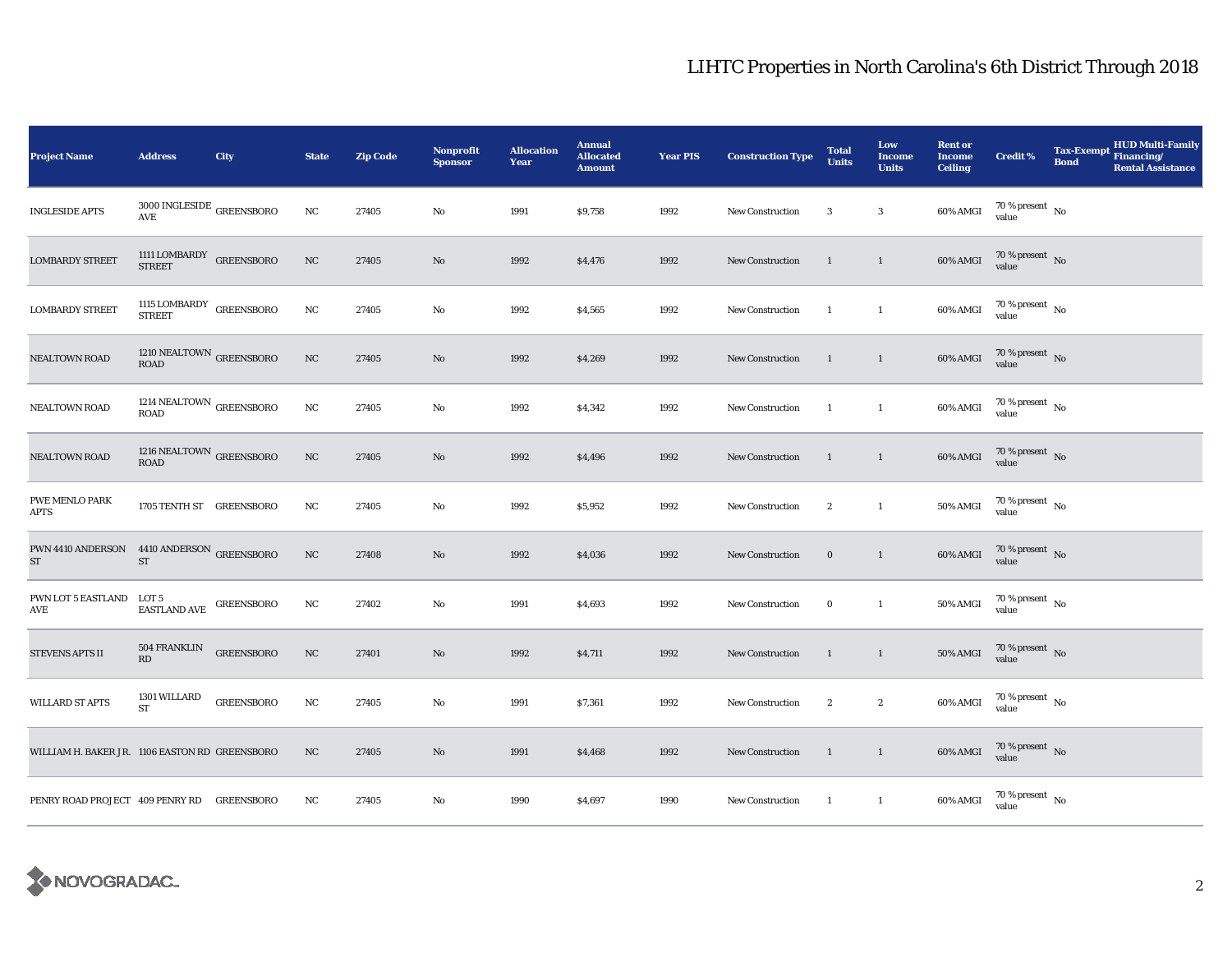| <b>Project Name</b>                                     | <b>Address</b>                                                                       | City              | <b>State</b> | <b>Zip Code</b> | <b>Nonprofit</b><br><b>Sponsor</b> | <b>Allocation</b><br>Year | <b>Annual</b><br><b>Allocated</b><br><b>Amount</b> | <b>Year PIS</b> | <b>Construction Type</b> | <b>Total</b><br><b>Units</b> | Low<br><b>Income</b><br><b>Units</b> | <b>Rent or</b><br><b>Income</b><br><b>Ceiling</b> | <b>Credit %</b>                      | <b>Tax-Exempt</b><br><b>Bond</b> | <b>HUD Multi-Family</b><br>Financing/<br><b>Rental Assistance</b> |
|---------------------------------------------------------|--------------------------------------------------------------------------------------|-------------------|--------------|-----------------|------------------------------------|---------------------------|----------------------------------------------------|-----------------|--------------------------|------------------------------|--------------------------------------|---------------------------------------------------|--------------------------------------|----------------------------------|-------------------------------------------------------------------|
| <b>INGLESIDE APTS</b>                                   | $3000\, \mathrm{INGLESIDE}$ GREENSBORO<br>AVE                                        |                   | NC           | 27405           | No                                 | 1991                      | \$9,758                                            | 1992            | <b>New Construction</b>  | 3                            | 3                                    | 60% AMGI                                          | 70 % present $\hbox{~No}$<br>value   |                                  |                                                                   |
| <b>LOMBARDY STREET</b>                                  | 1111 LOMBARDY GREENSBORO STREET                                                      |                   | $_{\rm NC}$  | 27405           | No                                 | 1992                      | \$4,476                                            | 1992            | <b>New Construction</b>  | $\mathbf{1}$                 | $\mathbf{1}$                         | 60% AMGI                                          | $70\%$ present No<br>value           |                                  |                                                                   |
| <b>LOMBARDY STREET</b>                                  | $1115$ LOMBARDY GREENSBORO STREET                                                    |                   | NC           | 27405           | No                                 | 1992                      | \$4,565                                            | 1992            | New Construction         | -1                           | $\mathbf{1}$                         | 60% AMGI                                          | $70\,\%$ present $\,$ No value       |                                  |                                                                   |
| NEALTOWN ROAD                                           | $1210$ NEALTOWN $_{\mbox{GREENSBORO}}$<br>ROAD                                       |                   | $_{\rm NC}$  | 27405           | $\mathbf{No}$                      | 1992                      | \$4,269                                            | 1992            | New Construction         | <sup>1</sup>                 | $\mathbf{1}$                         | 60% AMGI                                          | $70\,\%$ present $\,$ No value       |                                  |                                                                   |
| <b>NEALTOWN ROAD</b>                                    | 1214 NEALTOWN $_{\rm GREENSBORO}$<br><b>ROAD</b>                                     |                   | $_{\rm NC}$  | 27405           | No                                 | 1992                      | \$4,342                                            | 1992            | <b>New Construction</b>  | $\mathbf{1}$                 | $\mathbf{1}$                         | $60\%$ AMGI                                       | $70\,\%$ present $\,$ No value       |                                  |                                                                   |
| NEALTOWN ROAD                                           | $1216\;\mathrm{NEALTOWN}$ GREENSBORO ROAD                                            |                   | $_{\rm NC}$  | 27405           | $\mathbf{No}$                      | 1992                      | \$4,496                                            | 1992            | <b>New Construction</b>  | $\mathbf{1}$                 | $\mathbf{1}$                         | $60\%$ AMGI                                       | $70\,\%$ present $\,$ No value       |                                  |                                                                   |
| PWE MENLO PARK<br><b>APTS</b>                           | 1705 TENTH ST GREENSBORO                                                             |                   | NC           | 27405           | No                                 | 1992                      | \$5,952                                            | 1992            | <b>New Construction</b>  | $\boldsymbol{2}$             | $\mathbf{1}$                         | <b>50% AMGI</b>                                   | $70$ % present $\,$ No $\,$<br>value |                                  |                                                                   |
| <b>PWN 4410 ANDERSON 4410 ANDERSON GREENSBORO</b><br>ST | ST                                                                                   |                   | $_{\rm NC}$  | 27408           | No                                 | 1992                      | \$4,036                                            | 1992            | <b>New Construction</b>  | $\mathbf 0$                  | $\mathbf{1}$                         | 60% AMGI                                          | $70\,\%$ present $\,$ No value       |                                  |                                                                   |
| PWN LOT 5 EASTLAND<br>AVE                               | LOT 5<br>$\begin{array}{ll} \textbf{EASTLAND AVE} & \textbf{GREENSBORO} \end{array}$ |                   | NC           | 27402           | No                                 | 1991                      | \$4,693                                            | 1992            | <b>New Construction</b>  | $\bf{0}$                     | $\mathbf{1}$                         | 50% AMGI                                          | $70\,\%$ present $\,$ No value       |                                  |                                                                   |
| STEVENS APTS II                                         | <b>504 FRANKLIN</b><br>RD                                                            | <b>GREENSBORO</b> | $_{\rm NC}$  | 27401           | No                                 | 1992                      | \$4,711                                            | 1992            | New Construction         | $\mathbf{1}$                 | $\mathbf{1}$                         | <b>50% AMGI</b>                                   | $70\,\%$ present $\,$ No value       |                                  |                                                                   |
| <b>WILLARD ST APTS</b>                                  | 1301 WILLARD<br><b>ST</b>                                                            | <b>GREENSBORO</b> | NC           | 27405           | No                                 | 1991                      | \$7,361                                            | 1992            | <b>New Construction</b>  | $\boldsymbol{2}$             | $\boldsymbol{2}$                     | 60% AMGI                                          | $70\,\%$ present $\,$ No value       |                                  |                                                                   |
| WILLIAM H. BAKER JR. 1106 EASTON RD GREENSBORO          |                                                                                      |                   | $_{\rm NC}$  | 27405           | No                                 | 1991                      | \$4,468                                            | 1992            | New Construction         | $\mathbf{1}$                 | $\mathbf{1}$                         | 60% AMGI                                          | $70\,\%$ present $\,$ No value       |                                  |                                                                   |
| PENRY ROAD PROJECT 409 PENRY RD GREENSBORO              |                                                                                      |                   | NC           | 27405           | No                                 | 1990                      | \$4,697                                            | 1990            | <b>New Construction</b>  | $\mathbf{1}$                 | $\mathbf{1}$                         | 60% AMGI                                          | $70\,\%$ present $\,$ No value       |                                  |                                                                   |

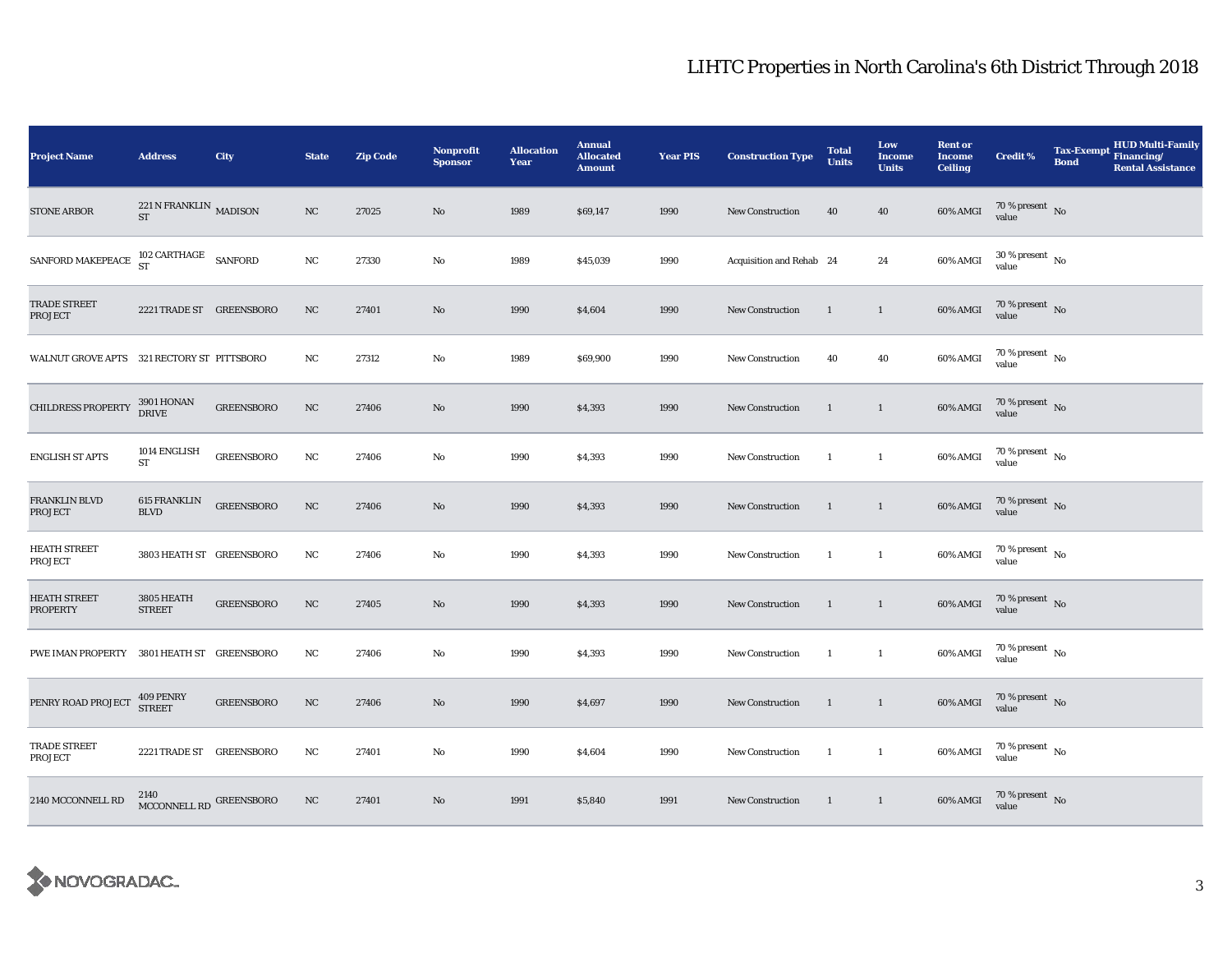| <b>Project Name</b>                        | <b>Address</b>                                                   | <b>City</b>       | <b>State</b> | <b>Zip Code</b> | <b>Nonprofit</b><br><b>Sponsor</b> | <b>Allocation</b><br>Year | <b>Annual</b><br><b>Allocated</b><br><b>Amount</b> | <b>Year PIS</b> | <b>Construction Type</b> | <b>Total</b><br><b>Units</b> | Low<br><b>Income</b><br><b>Units</b> | <b>Rent or</b><br><b>Income</b><br><b>Ceiling</b> | Credit %                               | <b>Tax-Exempt</b><br><b>Bond</b> | <b>HUD Multi-Family</b><br>Financing/<br><b>Rental Assistance</b> |
|--------------------------------------------|------------------------------------------------------------------|-------------------|--------------|-----------------|------------------------------------|---------------------------|----------------------------------------------------|-----------------|--------------------------|------------------------------|--------------------------------------|---------------------------------------------------|----------------------------------------|----------------------------------|-------------------------------------------------------------------|
| <b>STONE ARBOR</b>                         | $221\,\mathrm{N}$ FRANKLIN $_{\, \mathrm{MADISON}}$<br><b>ST</b> |                   | NC           | 27025           | No                                 | 1989                      | \$69,147                                           | 1990            | <b>New Construction</b>  | 40                           | 40                                   | 60% AMGI                                          | $70\,\%$ present $\,$ No value         |                                  |                                                                   |
| SANFORD MAKEPEACE                          | $102$ CARTHAGE $\;$ SANFORD ST                                   |                   | $_{\rm NC}$  | 27330           | No                                 | 1989                      | \$45,039                                           | 1990            | Acquisition and Rehab 24 |                              | 24                                   | 60% AMGI                                          | $30\,\%$ present $\,$ No $\,$<br>value |                                  |                                                                   |
| TRADE STREET<br><b>PROJECT</b>             | 2221 TRADE ST GREENSBORO                                         |                   | NC           | 27401           | $\mathbf{N}\mathbf{o}$             | 1990                      | \$4,604                                            | 1990            | New Construction         | <sup>1</sup>                 | $\mathbf{1}$                         | 60% AMGI                                          | $70\,\%$ present $\,$ No value         |                                  |                                                                   |
| WALNUT GROVE APTS 321 RECTORY ST PITTSBORO |                                                                  |                   | NC           | 27312           | No                                 | 1989                      | \$69,900                                           | 1990            | New Construction         | 40                           | 40                                   | 60% AMGI                                          | $70\,\%$ present $\,$ No value         |                                  |                                                                   |
| <b>CHILDRESS PROPERTY</b>                  | <b>3901 HONAN</b><br><b>DRIVE</b>                                | <b>GREENSBORO</b> | $_{\rm NC}$  | 27406           | $\mathbf{N}\mathbf{o}$             | 1990                      | \$4,393                                            | 1990            | New Construction         | $\mathbf{1}$                 | $\mathbf{1}$                         | 60% AMGI                                          | $70\,\%$ present $\,$ No value         |                                  |                                                                   |
| <b>ENGLISH ST APTS</b>                     | 1014 ENGLISH<br>ST                                               | <b>GREENSBORO</b> | $_{\rm NC}$  | 27406           | No                                 | 1990                      | \$4,393                                            | 1990            | New Construction         | 1                            | $\mathbf{1}$                         | 60% AMGI                                          | $70\,\%$ present $\,$ No value         |                                  |                                                                   |
| FRANKLIN BLVD<br><b>PROJECT</b>            | 615 FRANKLIN<br><b>BLVD</b>                                      | <b>GREENSBORO</b> | $_{\rm NC}$  | 27406           | No                                 | 1990                      | \$4,393                                            | 1990            | New Construction         | $\mathbf{1}$                 | $\mathbf{1}$                         | 60% AMGI                                          | $70\,\%$ present $\,$ No value         |                                  |                                                                   |
| <b>HEATH STREET</b><br><b>PROJECT</b>      | 3803 HEATH ST GREENSBORO                                         |                   | NC           | 27406           | No                                 | 1990                      | \$4,393                                            | 1990            | <b>New Construction</b>  | -1                           | $\mathbf{1}$                         | 60% AMGI                                          | $70\,\%$ present $\,$ No value         |                                  |                                                                   |
| <b>HEATH STREET</b><br><b>PROPERTY</b>     | 3805 HEATH<br><b>STREET</b>                                      | <b>GREENSBORO</b> | NC           | 27405           | No                                 | 1990                      | \$4,393                                            | 1990            | New Construction         | $\mathbf{1}$                 | $\mathbf{1}$                         | 60% AMGI                                          | $70\,\%$ present $\,$ No value         |                                  |                                                                   |
| PWE IMAN PROPERTY 3801 HEATH ST GREENSBORO |                                                                  |                   | $_{\rm NC}$  | 27406           | No                                 | 1990                      | \$4,393                                            | 1990            | New Construction         | <sup>1</sup>                 | $\mathbf{1}$                         | 60% AMGI                                          | 70 % present $\hbox{~No}$<br>value     |                                  |                                                                   |
| PENRY ROAD PROJECT                         | 409 PENRY<br><b>STREET</b>                                       | <b>GREENSBORO</b> | NC           | 27406           | No                                 | 1990                      | \$4,697                                            | 1990            | <b>New Construction</b>  | 1                            | $\mathbf{1}$                         | 60% AMGI                                          | $70\,\%$ present $\,$ No value         |                                  |                                                                   |
| TRADE STREET<br>PROJECT                    | 2221 TRADE ST GREENSBORO                                         |                   | $_{\rm NC}$  | 27401           | No                                 | 1990                      | \$4,604                                            | 1990            | New Construction         | $\mathbf{1}$                 | $\mathbf{1}$                         | 60% AMGI                                          | $70\,\%$ present $\,$ No value         |                                  |                                                                   |
| 2140 MCCONNELL RD                          | 2140<br>MCCONNELL RD GREENSBORO                                  |                   | NC           | 27401           | No                                 | 1991                      | \$5,840                                            | 1991            | <b>New Construction</b>  | -1                           | $\overline{1}$                       | 60% AMGI                                          | $70\,\%$ present $\,$ No value         |                                  |                                                                   |

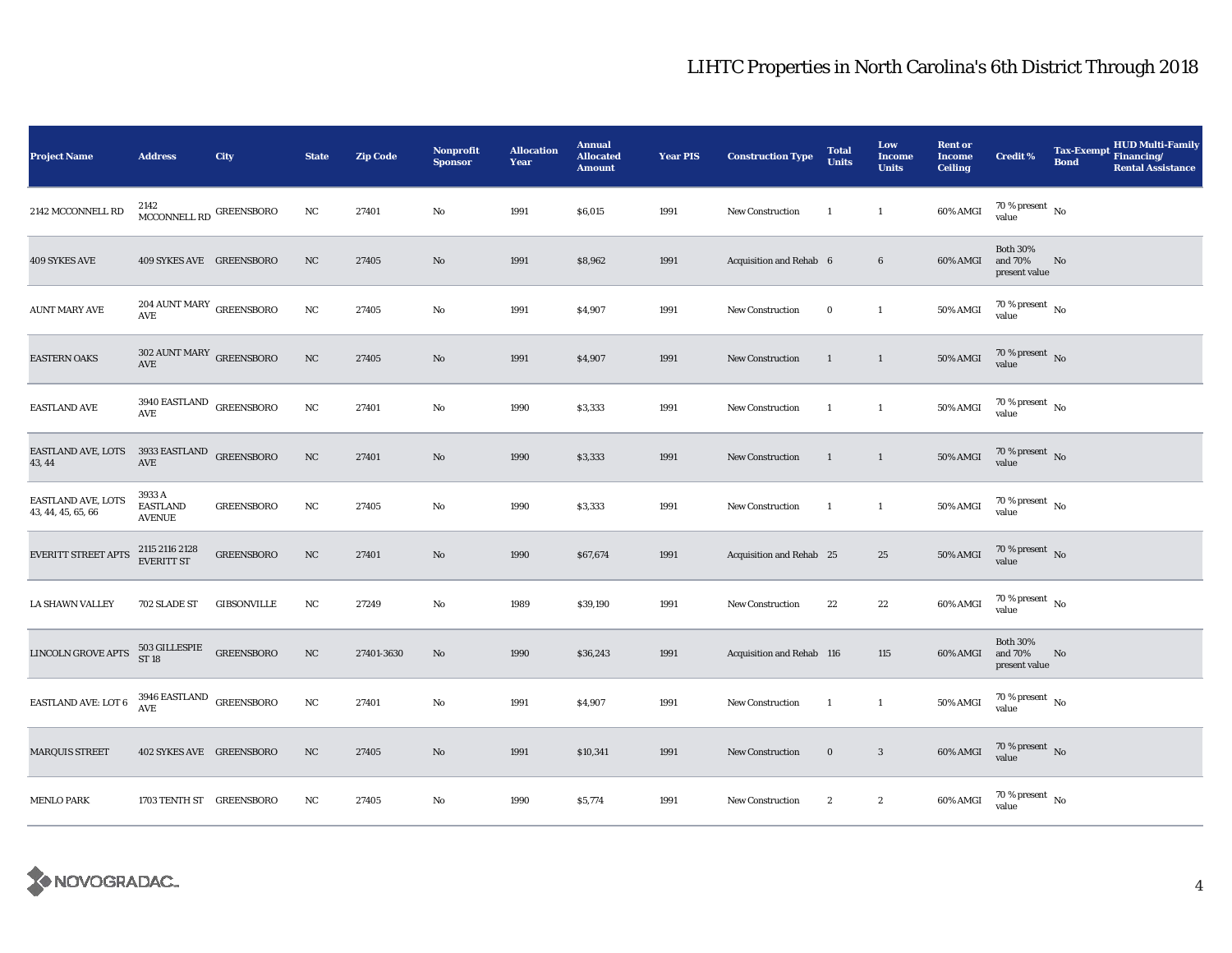| <b>Project Name</b>                      | <b>Address</b>                                        | City               | <b>State</b> | <b>Zip Code</b> | <b>Nonprofit</b><br><b>Sponsor</b> | <b>Allocation</b><br>Year | <b>Annual</b><br><b>Allocated</b><br><b>Amount</b> | <b>Year PIS</b> | <b>Construction Type</b>  | <b>Total</b><br><b>Units</b> | Low<br><b>Income</b><br><b>Units</b> | <b>Rent or</b><br><b>Income</b><br><b>Ceiling</b> | <b>Credit %</b>                             | <b>Tax-Exempt</b><br><b>Bond</b> | <b>HUD Multi-Family</b><br>Financing/<br><b>Rental Assistance</b> |
|------------------------------------------|-------------------------------------------------------|--------------------|--------------|-----------------|------------------------------------|---------------------------|----------------------------------------------------|-----------------|---------------------------|------------------------------|--------------------------------------|---------------------------------------------------|---------------------------------------------|----------------------------------|-------------------------------------------------------------------|
| 2142 MCCONNELL RD                        | MCCONNELL RD $^{\rm GREENSBORO}$                      |                    | NC           | 27401           | No                                 | 1991                      | \$6,015                                            | 1991            | New Construction          | $\overline{1}$               | $\mathbf{1}$                         | 60% AMGI                                          | 70 % present $\hbox{~No}$<br>value          |                                  |                                                                   |
| 409 SYKES AVE                            | 409 SYKES AVE GREENSBORO                              |                    | $_{\rm NC}$  | 27405           | No                                 | 1991                      | \$8,962                                            | 1991            | Acquisition and Rehab 6   |                              | $\bf 6$                              | 60% AMGI                                          | <b>Both 30%</b><br>and 70%<br>present value | No                               |                                                                   |
| <b>AUNT MARY AVE</b>                     | $204$ AUNT MARY $\,$ GREENSBORO<br>AVE                |                    | NC           | 27405           | No                                 | 1991                      | \$4,907                                            | 1991            | New Construction          | $\bf{0}$                     | $\mathbf{1}$                         | 50% AMGI                                          | $70\,\%$ present $\,$ No value              |                                  |                                                                   |
| <b>EASTERN OAKS</b>                      | $302$ AUNT MARY $\,$ GREENSBORO<br>AVE                |                    | $_{\rm NC}$  | 27405           | $\mathbf{N}\mathbf{o}$             | 1991                      | \$4,907                                            | 1991            | New Construction          | <sup>1</sup>                 | $\mathbf{1}$                         | <b>50% AMGI</b>                                   | $70\,\%$ present $\,$ No value              |                                  |                                                                   |
| <b>EASTLAND AVE</b>                      | $3940$ EASTLAND $\,$ GREENSBORO<br>AVE                |                    | NC           | 27401           | No                                 | 1990                      | \$3,333                                            | 1991            | <b>New Construction</b>   | $\mathbf{1}$                 | $\mathbf{1}$                         | <b>50% AMGI</b>                                   | 70 % present $\hbox{~No}$<br>value          |                                  |                                                                   |
| EASTLAND AVE, LOTS<br>43, 44             | 3933 EASTLAND $\,$ GREENSBORO<br>$\operatorname{AVE}$ |                    | $_{\rm NC}$  | 27401           | $\mathbf{N}\mathbf{o}$             | 1990                      | \$3,333                                            | 1991            | New Construction          | $\mathbf{1}$                 | $\mathbf{1}$                         | <b>50% AMGI</b>                                   | $70\,\%$ present $\,$ No value              |                                  |                                                                   |
| EASTLAND AVE, LOTS<br>43, 44, 45, 65, 66 | 3933 A<br><b>EASTLAND</b><br><b>AVENUE</b>            | <b>GREENSBORO</b>  | NC           | 27405           | No                                 | 1990                      | \$3,333                                            | 1991            | <b>New Construction</b>   | $\overline{1}$               | $\mathbf{1}$                         | <b>50% AMGI</b>                                   | $70\,\%$ present $\,$ No value              |                                  |                                                                   |
| EVERITT STREET APTS                      | 2115 2116 2128<br>EVERITT ST                          | <b>GREENSBORO</b>  | $_{\rm NC}$  | 27401           | $\mathbf{N}\mathbf{o}$             | 1990                      | \$67,674                                           | 1991            | Acquisition and Rehab 25  |                              | 25                                   | <b>50% AMGI</b>                                   | $70\,\%$ present $\,$ No value              |                                  |                                                                   |
| <b>LA SHAWN VALLEY</b>                   | 702 SLADE ST                                          | <b>GIBSONVILLE</b> | NC           | 27249           | No                                 | 1989                      | \$39,190                                           | 1991            | New Construction          | 22                           | 22                                   | 60% AMGI                                          | $70\,\%$ present $\,$ No value              |                                  |                                                                   |
| LINCOLN GROVE APTS                       | $503$ GILLESPIE GREENSBORO ST 18                      |                    | $_{\rm NC}$  | 27401-3630      | $\mathbf{N}\mathbf{o}$             | 1990                      | \$36,243                                           | 1991            | Acquisition and Rehab 116 |                              | 115                                  | 60% AMGI                                          | <b>Both 30%</b><br>and 70%<br>present value | No                               |                                                                   |
| EASTLAND AVE: LOT 6                      | $3946$ EASTLAND $$\,{\rm GREENSBORO}$$ AVE            |                    | NC           | 27401           | No                                 | 1991                      | \$4,907                                            | 1991            | New Construction          | <sup>1</sup>                 | $\mathbf{1}$                         | 50% AMGI                                          | 70 % present $\hbox{~No}$<br>value          |                                  |                                                                   |
| MARQUIS STREET                           | 402 SYKES AVE GREENSBORO                              |                    | $_{\rm NC}$  | 27405           | No                                 | 1991                      | \$10,341                                           | 1991            | New Construction          | $\bf{0}$                     | $\mathbf{3}$                         | 60% AMGI                                          | $70\,\%$ present $\,$ No value              |                                  |                                                                   |
| <b>MENLO PARK</b>                        | 1703 TENTH ST GREENSBORO                              |                    | NC           | 27405           | $\rm No$                           | 1990                      | \$5,774                                            | 1991            | New Construction          | $\boldsymbol{2}$             | $\boldsymbol{2}$                     | 60% AMGI                                          | $70\,\%$ present $\,$ No value              |                                  |                                                                   |

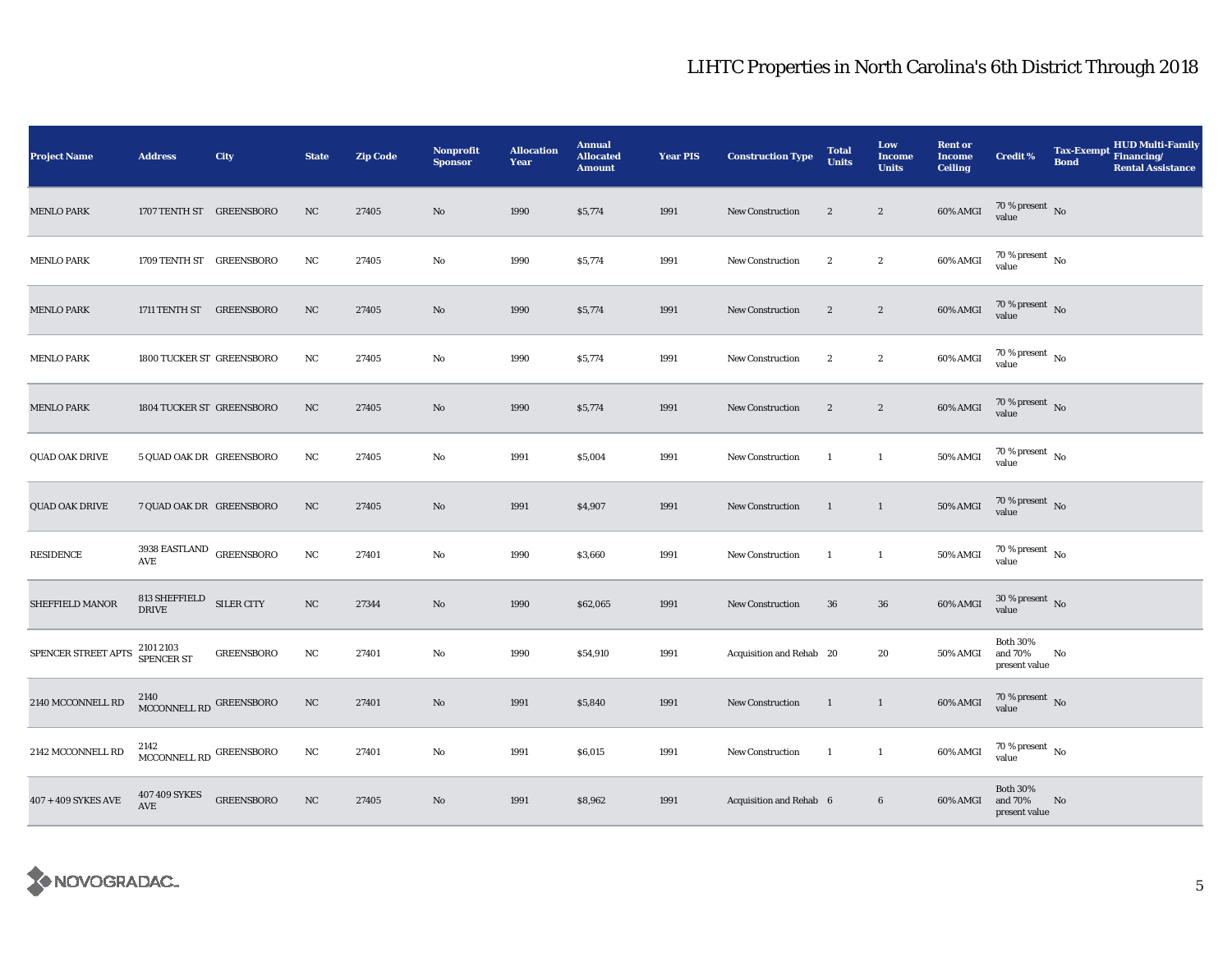| <b>Project Name</b>   | <b>Address</b>                                  | City              | <b>State</b> | <b>Zip Code</b> | Nonprofit<br><b>Sponsor</b> | <b>Allocation</b><br>Year | <b>Annual</b><br><b>Allocated</b><br><b>Amount</b> | <b>Year PIS</b> | <b>Construction Type</b> | <b>Total</b><br><b>Units</b> | Low<br><b>Income</b><br><b>Units</b> | <b>Rent or</b><br><b>Income</b><br><b>Ceiling</b> | <b>Credit %</b>                             | <b>Tax-Exempt</b><br><b>Bond</b> | <b>HUD Multi-Family</b><br>Financing/<br><b>Rental Assistance</b> |
|-----------------------|-------------------------------------------------|-------------------|--------------|-----------------|-----------------------------|---------------------------|----------------------------------------------------|-----------------|--------------------------|------------------------------|--------------------------------------|---------------------------------------------------|---------------------------------------------|----------------------------------|-------------------------------------------------------------------|
| <b>MENLO PARK</b>     | 1707 TENTH ST GREENSBORO                        |                   | NC           | 27405           | No                          | 1990                      | \$5,774                                            | 1991            | New Construction         | $\boldsymbol{2}$             | $\boldsymbol{2}$                     | 60% AMGI                                          | $70\,\%$ present $\,$ No value              |                                  |                                                                   |
| <b>MENLO PARK</b>     | 1709 TENTH ST GREENSBORO                        |                   | NC           | 27405           | No                          | 1990                      | \$5,774                                            | 1991            | <b>New Construction</b>  | $\boldsymbol{2}$             | $\boldsymbol{2}$                     | 60% AMGI                                          | $70\,\%$ present $\,$ No $\,$<br>value      |                                  |                                                                   |
| <b>MENLO PARK</b>     | 1711 TENTH ST GREENSBORO                        |                   | NC           | 27405           | No                          | 1990                      | \$5,774                                            | 1991            | <b>New Construction</b>  | $\boldsymbol{2}$             | $\mathbf{2}$                         | 60% AMGI                                          | $70\,\%$ present $\,$ No value              |                                  |                                                                   |
| <b>MENLO PARK</b>     | 1800 TUCKER ST GREENSBORO                       |                   | NC           | 27405           | No                          | 1990                      | \$5,774                                            | 1991            | <b>New Construction</b>  | $\boldsymbol{2}$             | $\boldsymbol{2}$                     | 60% AMGI                                          | $70\,\%$ present $\,$ No value              |                                  |                                                                   |
| <b>MENLO PARK</b>     | 1804 TUCKER ST GREENSBORO                       |                   | NC           | 27405           | No                          | 1990                      | \$5,774                                            | 1991            | <b>New Construction</b>  | $\boldsymbol{2}$             | $\boldsymbol{2}$                     | 60% AMGI                                          | $70$ % present $${\rm No}$$ value           |                                  |                                                                   |
| <b>QUAD OAK DRIVE</b> | 5 QUAD OAK DR GREENSBORO                        |                   | NC           | 27405           | No                          | 1991                      | \$5,004                                            | 1991            | <b>New Construction</b>  | 1                            | $\mathbf{1}$                         | 50% AMGI                                          | $70$ % present $\,$ No $\,$<br>value        |                                  |                                                                   |
| <b>QUAD OAK DRIVE</b> | 7 QUAD OAK DR GREENSBORO                        |                   | NC           | 27405           | No                          | 1991                      | \$4,907                                            | 1991            | <b>New Construction</b>  | $\mathbf{1}$                 | $\mathbf{1}$                         | <b>50% AMGI</b>                                   | $70$ % present $\,$ No $\,$<br>value        |                                  |                                                                   |
| RESIDENCE             | 3938 EASTLAND $_{\rm GREENSBORO}$<br><b>AVE</b> |                   | NC           | 27401           | No                          | 1990                      | \$3,660                                            | 1991            | <b>New Construction</b>  | $\mathbf{1}$                 | $\mathbf{1}$                         | 50% AMGI                                          | 70 % present $\hbox{~No}$<br>value          |                                  |                                                                   |
| SHEFFIELD MANOR       | $813$ SHEFFIELD $$\rm SLER~CITY$$ DRIVE         |                   | NC           | 27344           | No                          | 1990                      | \$62,065                                           | 1991            | New Construction         | 36                           | 36                                   | 60% AMGI                                          | $30$ % present $_{\rm{No}}$ $_{\rm{value}}$ |                                  |                                                                   |
| SPENCER STREET APTS   | 2101 2103<br>SPENCER ST                         | <b>GREENSBORO</b> | NC           | 27401           | No                          | 1990                      | \$54,910                                           | 1991            | Acquisition and Rehab 20 |                              | 20                                   | 50% AMGI                                          | <b>Both 30%</b><br>and 70%<br>present value | No                               |                                                                   |
| 2140 MCCONNELL RD     | 2140<br>MCCONNELL RD GREENSBORO                 |                   | NC           | 27401           | No                          | 1991                      | \$5,840                                            | 1991            | New Construction         | $\overline{1}$               | $\mathbf{1}$                         | 60% AMGI                                          | $70\,\%$ present $\,$ No value              |                                  |                                                                   |
| 2142 MCCONNELL RD     | 2142<br>MCCONNELL RD $\,$ GREENSBORO            |                   | NC           | 27401           | No                          | 1991                      | \$6,015                                            | 1991            | <b>New Construction</b>  | $\mathbf{1}$                 | $\mathbf{1}$                         | 60% AMGI                                          | 70 % present $\hbox{~No}$<br>value          |                                  |                                                                   |
| $407 + 409$ SYKES AVE | 407 409 SYKES<br>AVE                            | <b>GREENSBORO</b> | $_{\rm NC}$  | 27405           | No                          | 1991                      | \$8,962                                            | 1991            | Acquisition and Rehab 6  |                              | $6\phantom{.}6$                      | 60% AMGI                                          | <b>Both 30%</b><br>and 70%<br>present value | No                               |                                                                   |

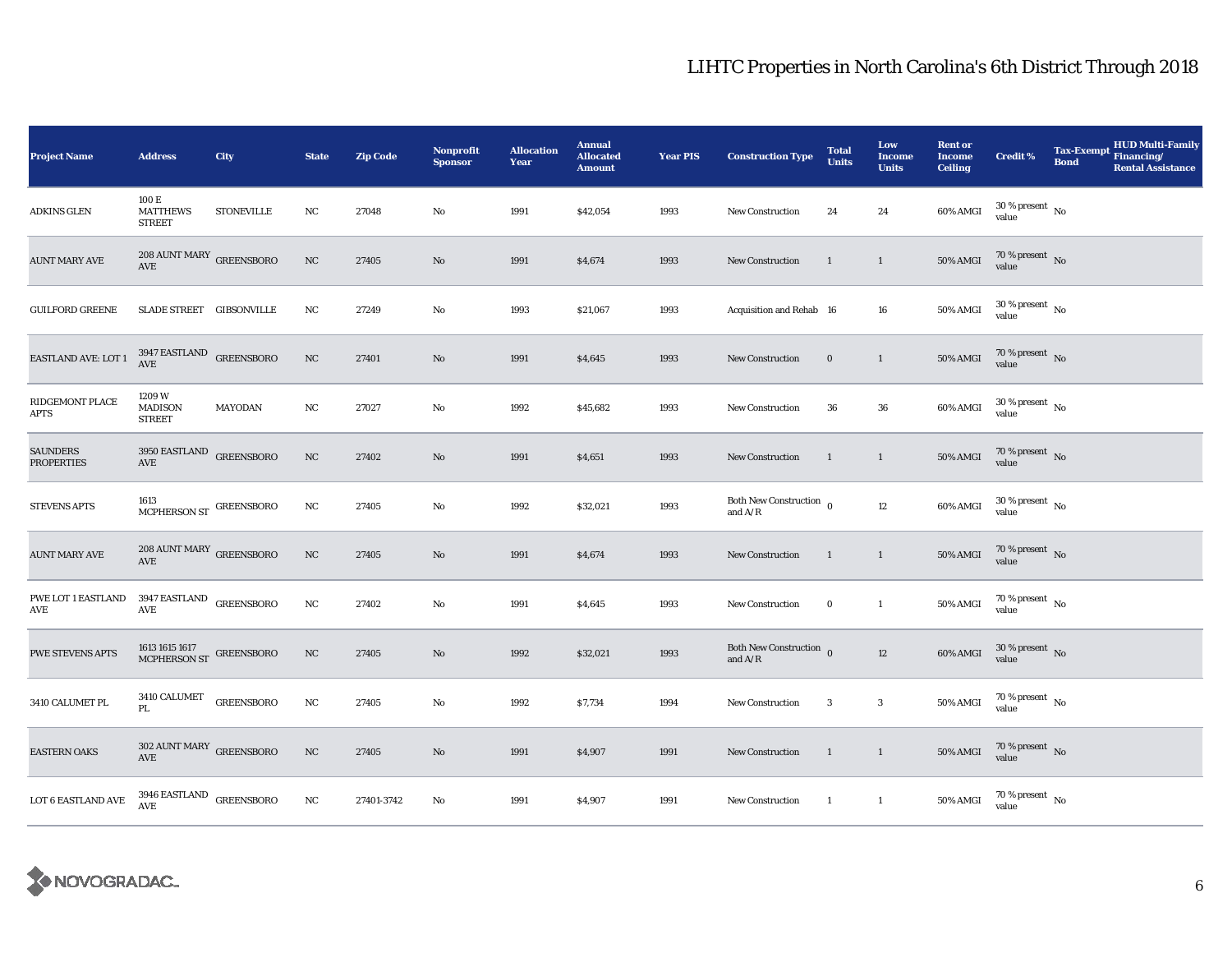| <b>Project Name</b>                  | <b>Address</b>                                   | City              | <b>State</b> | <b>Zip Code</b> | Nonprofit<br><b>Sponsor</b> | <b>Allocation</b><br>Year | <b>Annual</b><br><b>Allocated</b><br><b>Amount</b> | <b>Year PIS</b> | <b>Construction Type</b>                                    | <b>Total</b><br><b>Units</b> | Low<br><b>Income</b><br><b>Units</b> | <b>Rent or</b><br><b>Income</b><br><b>Ceiling</b> | <b>Credit %</b>                          | <b>HUD Multi-Family</b><br><b>Tax-Exempt</b><br>Financing/<br><b>Bond</b><br><b>Rental Assistance</b> |
|--------------------------------------|--------------------------------------------------|-------------------|--------------|-----------------|-----------------------------|---------------------------|----------------------------------------------------|-----------------|-------------------------------------------------------------|------------------------------|--------------------------------------|---------------------------------------------------|------------------------------------------|-------------------------------------------------------------------------------------------------------|
| <b>ADKINS GLEN</b>                   | 100 E<br><b>MATTHEWS</b><br><b>STREET</b>        | <b>STONEVILLE</b> | NC           | 27048           | No                          | 1991                      | \$42,054                                           | 1993            | <b>New Construction</b>                                     | 24                           | 24                                   | 60% AMGI                                          | $30\,\%$ present $\,$ No value           |                                                                                                       |
| <b>AUNT MARY AVE</b>                 | 208 AUNT MARY GREENSBORO<br>AVE                  |                   | NC           | 27405           | No                          | 1991                      | \$4,674                                            | 1993            | <b>New Construction</b>                                     | 1                            | $\mathbf{1}$                         | <b>50% AMGI</b>                                   | $70\%$ present No<br>value               |                                                                                                       |
| <b>GUILFORD GREENE</b>               | SLADE STREET GIBSONVILLE                         |                   | NC           | 27249           | No                          | 1993                      | \$21,067                                           | 1993            | Acquisition and Rehab 16                                    |                              | 16                                   | <b>50% AMGI</b>                                   | $30\,\%$ present $\,$ No $\,$<br>value   |                                                                                                       |
| <b>EASTLAND AVE: LOT 1</b>           | $3947$ EASTLAND $$\sf{G}REENSBORO$$ AVE          |                   | $_{\rm NC}$  | 27401           | No                          | 1991                      | \$4,645                                            | 1993            | <b>New Construction</b>                                     | $\bf{0}$                     | $\mathbf{1}$                         | <b>50% AMGI</b>                                   | $70\,\%$ present $\,$ No value           |                                                                                                       |
| RIDGEMONT PLACE<br>APTS              | 1209 W<br><b>MADISON</b><br><b>STREET</b>        | MAYODAN           | NC           | 27027           | No                          | 1992                      | \$45,682                                           | 1993            | <b>New Construction</b>                                     | 36                           | 36                                   | 60% AMGI                                          | $30\,\%$ present $\,$ No $\,$<br>value   |                                                                                                       |
| <b>SAUNDERS</b><br><b>PROPERTIES</b> | 3950 EASTLAND GREENSBORO<br>$\operatorname{AVE}$ |                   | $_{\rm NC}$  | 27402           | No                          | 1991                      | \$4,651                                            | 1993            | <b>New Construction</b>                                     | $\mathbf{1}$                 | $\mathbf{1}$                         | <b>50% AMGI</b>                                   | $70\,\%$ present $\,$ No value           |                                                                                                       |
| <b>STEVENS APTS</b>                  | $1613$ MCPHERSON ST $\,$ GREENSBORO $\,$         |                   | NC           | 27405           | No                          | 1992                      | \$32,021                                           | 1993            | Both New Construction $_{0}$<br>and $\mathrm{A}/\mathrm{R}$ |                              | $12\phantom{.0}$                     | 60% AMGI                                          | $30\,\%$ present $\,$ No $\,$<br>value   |                                                                                                       |
| <b>AUNT MARY AVE</b>                 | $208$ AUNT MARY $\,$ GREENSBORO<br>AVE           |                   | $_{\rm NC}$  | 27405           | No                          | 1991                      | \$4,674                                            | 1993            | <b>New Construction</b>                                     | 1                            | $\mathbf{1}$                         | <b>50% AMGI</b>                                   | $70\,\%$ present $\,$ No value           |                                                                                                       |
| PWE LOT 1 EASTLAND<br>AVE            | 3947 EASTLAND $\,$ GREENSBORO<br>AVE             |                   | NC           | 27402           | No                          | 1991                      | \$4,645                                            | 1993            | New Construction                                            | $\bf{0}$                     | $\mathbf{1}$                         | <b>50% AMGI</b>                                   | $70\,\%$ present $\,$ No value           |                                                                                                       |
| PWE STEVENS APTS                     | $1613\,1615\,1617$ GREENSBORO MCPHERSON ST       |                   | NC           | 27405           | No                          | 1992                      | \$32,021                                           | 1993            | Both New Construction $\overline{0}$<br>and $A/R$           |                              | 12                                   | 60% AMGI                                          | $30\,\%$ present $\,$ No value           |                                                                                                       |
| 3410 CALUMET PL                      | 3410 CALUMET GREENSBORO<br>PL                    |                   | $_{\rm NC}$  | 27405           | No                          | 1992                      | \$7,734                                            | 1994            | <b>New Construction</b>                                     | 3                            | $\sqrt{3}$                           | <b>50% AMGI</b>                                   | $70\,\%$ present $\,$ No value           |                                                                                                       |
| <b>EASTERN OAKS</b>                  | $302$ AUNT MARY $\,$ GREENSBORO<br>AVE           |                   | NC           | 27405           | No                          | 1991                      | \$4,907                                            | 1991            | <b>New Construction</b>                                     | $\overline{1}$               | $\overline{1}$                       | <b>50% AMGI</b>                                   | $70\,\%$ present $\,$ No value           |                                                                                                       |
| LOT 6 EASTLAND AVE                   | $3946$ EASTLAND $\,$ GREENSBORO<br>AVE           |                   | NC           | 27401-3742      | No                          | 1991                      | \$4,907                                            | 1991            | New Construction                                            | $\overline{1}$               | $\mathbf{1}$                         | <b>50% AMGI</b>                                   | $70\,\%$ present $_{\, \rm No}$<br>value |                                                                                                       |

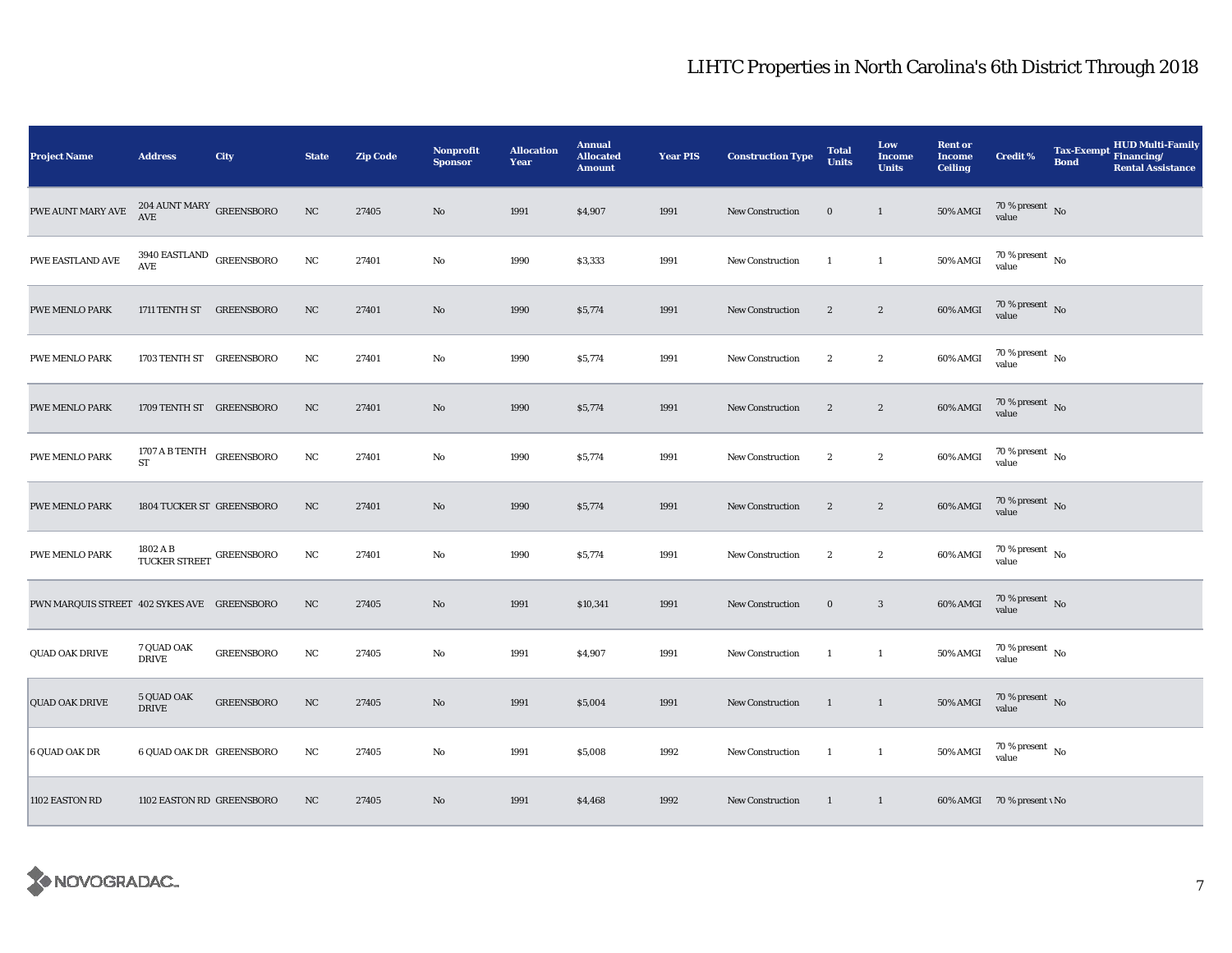| <b>Project Name</b>                         | <b>Address</b>                                         | <b>City</b>       | <b>State</b> | <b>Zip Code</b> | Nonprofit<br><b>Sponsor</b> | <b>Allocation</b><br>Year | <b>Annual</b><br><b>Allocated</b><br><b>Amount</b> | <b>Year PIS</b> | <b>Construction Type</b> | <b>Total</b><br><b>Units</b> | Low<br><b>Income</b><br><b>Units</b> | <b>Rent or</b><br><b>Income</b><br><b>Ceiling</b> | <b>Credit %</b>                        | <b>Tax-Exempt</b><br><b>Bond</b> | HUD Multi-Family<br>Financing/<br><b>Rental Assistance</b> |
|---------------------------------------------|--------------------------------------------------------|-------------------|--------------|-----------------|-----------------------------|---------------------------|----------------------------------------------------|-----------------|--------------------------|------------------------------|--------------------------------------|---------------------------------------------------|----------------------------------------|----------------------------------|------------------------------------------------------------|
| PWE AUNT MARY AVE                           | $204$ AUNT MARY GREENSBORO<br>AVE                      |                   | $_{\rm NC}$  | 27405           | $\rm No$                    | 1991                      | \$4,907                                            | 1991            | New Construction         | $\bf{0}$                     | $\mathbf{1}$                         | 50% AMGI                                          | 70 % present $\hbox{~No}$<br>value     |                                  |                                                            |
| PWE EASTLAND AVE                            | $3940$ EASTLAND $\,$ GREENSBORO AVE                    |                   | $_{\rm NC}$  | 27401           | $\mathbf{No}$               | 1990                      | \$3,333                                            | 1991            | <b>New Construction</b>  | -1                           | $\mathbf{1}$                         | 50% AMGI                                          | $70\,\%$ present $\,$ No $\,$<br>value |                                  |                                                            |
| PWE MENLO PARK                              | 1711 TENTH ST GREENSBORO                               |                   | NC           | 27401           | $\mathbf{N}\mathbf{o}$      | 1990                      | \$5,774                                            | 1991            | <b>New Construction</b>  | $\sqrt{2}$                   | $\boldsymbol{2}$                     | 60% AMGI                                          | $70\,\%$ present $\,$ No value         |                                  |                                                            |
| <b>PWE MENLO PARK</b>                       | 1703 TENTH ST GREENSBORO                               |                   | NC           | 27401           | No                          | 1990                      | \$5,774                                            | 1991            | <b>New Construction</b>  | $\overline{2}$               | $\boldsymbol{2}$                     | 60% AMGI                                          | $70\,\%$ present $\,$ No $\,$<br>value |                                  |                                                            |
| PWE MENLO PARK                              | 1709 TENTH ST GREENSBORO                               |                   | NC           | 27401           | $\mathbf{N}\mathbf{o}$      | 1990                      | \$5,774                                            | 1991            | New Construction         | $\boldsymbol{2}$             | $\boldsymbol{2}$                     | 60% AMGI                                          | $70\,\%$ present $\,$ No value         |                                  |                                                            |
| <b>PWE MENLO PARK</b>                       | 1707 A B TENTH GREENSBORO<br><b>ST</b>                 |                   | NC           | 27401           | $\mathbf{No}$               | 1990                      | \$5,774                                            | 1991            | New Construction         | $\sqrt{2}$                   | $\boldsymbol{2}$                     | 60% AMGI                                          | $70\,\%$ present $\,$ No value         |                                  |                                                            |
| PWE MENLO PARK                              | 1804 TUCKER ST GREENSBORO                              |                   | NC           | 27401           | $\mathbf{N}\mathbf{o}$      | 1990                      | \$5,774                                            | 1991            | <b>New Construction</b>  | $\boldsymbol{2}$             | $\boldsymbol{2}$                     | 60% AMGI                                          | $70\,\%$ present $\,$ No value         |                                  |                                                            |
| PWE MENLO PARK                              | $1802$ A B $$\sf TUCKER$ $\sf SIREET$ $\sf GREENSBORO$ |                   | NC           | 27401           | No                          | 1990                      | \$5,774                                            | 1991            | <b>New Construction</b>  | $\boldsymbol{2}$             | $\boldsymbol{2}$                     | 60% AMGI                                          | $70\,\%$ present $\,$ No value         |                                  |                                                            |
| PWN MARQUIS STREET 402 SYKES AVE GREENSBORO |                                                        |                   | NC           | 27405           | No                          | 1991                      | \$10,341                                           | 1991            | New Construction         | $\bf{0}$                     | $\mathbf{3}$                         | 60% AMGI                                          | $70\,\%$ present $\,$ No value         |                                  |                                                            |
| QUAD OAK DRIVE                              | 7 QUAD OAK<br><b>DRIVE</b>                             | <b>GREENSBORO</b> | NC           | 27405           | No                          | 1991                      | \$4,907                                            | 1991            | New Construction         | -1                           | $\mathbf{1}$                         | 50% AMGI                                          | 70 % present $\hbox{~No}$<br>value     |                                  |                                                            |
| <b>QUAD OAK DRIVE</b>                       | 5 QUAD OAK<br><b>DRIVE</b>                             | <b>GREENSBORO</b> | $_{\rm NC}$  | 27405           | $\mathbf{N}\mathbf{o}$      | 1991                      | \$5,004                                            | 1991            | New Construction         | $\mathbf{1}$                 | $\mathbf{1}$                         | <b>50% AMGI</b>                                   | 70 % present $\,$ No $\,$<br>value     |                                  |                                                            |
| 6 QUAD OAK DR                               | 6 QUAD OAK DR GREENSBORO                               |                   | NC           | 27405           | No                          | 1991                      | \$5,008                                            | 1992            | New Construction         | $\overline{1}$               | $\mathbf{1}$                         | 50% AMGI                                          | $70\,\%$ present $\,$ No value         |                                  |                                                            |
| 1102 EASTON RD                              | 1102 EASTON RD GREENSBORO                              |                   | NC           | 27405           | No                          | 1991                      | \$4,468                                            | 1992            | <b>New Construction</b>  | $\mathbf{1}$                 | $\mathbf{1}$                         |                                                   | 60% AMGI 70 % present v No             |                                  |                                                            |

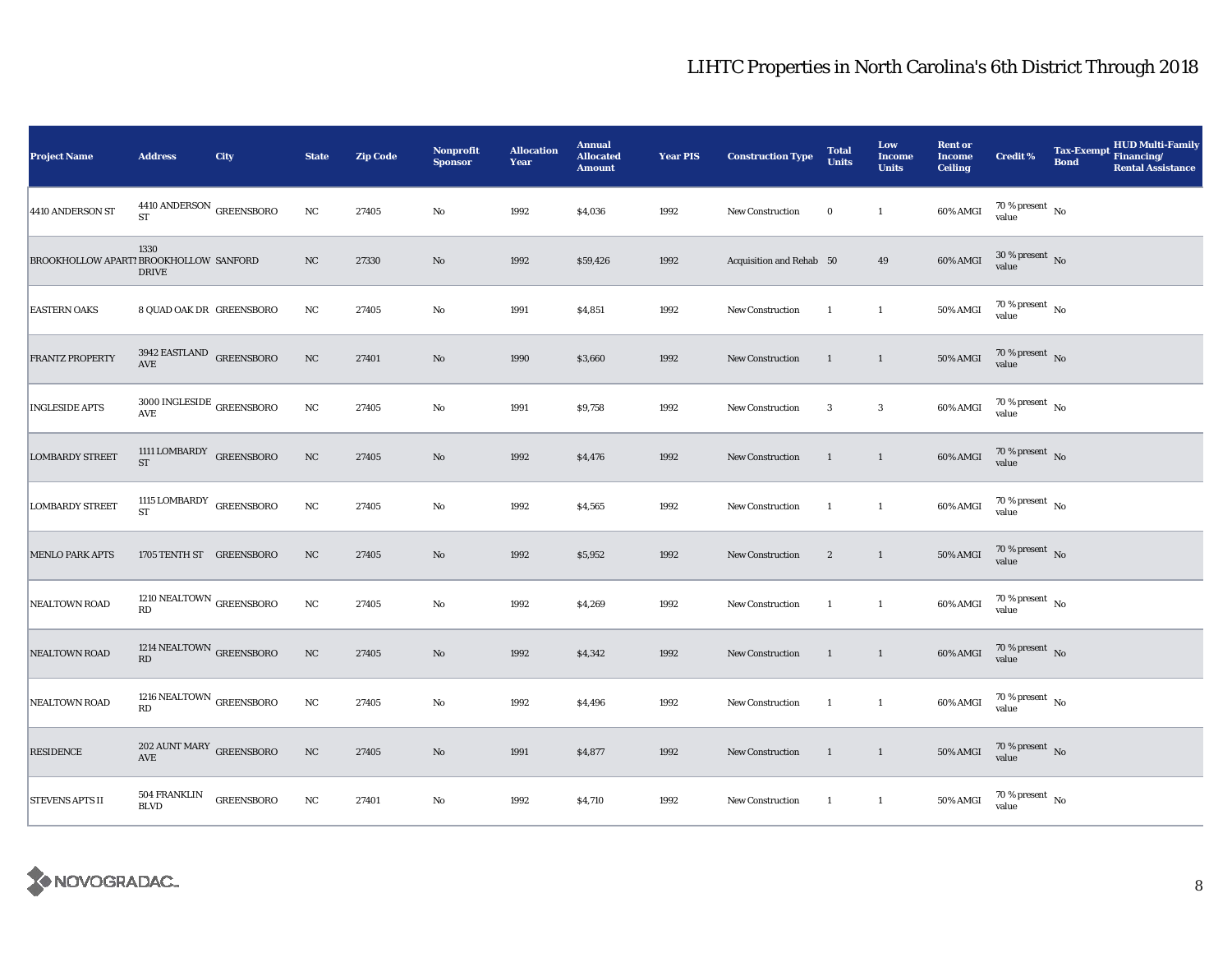| <b>Project Name</b>                    | <b>Address</b>                                            | City              | <b>State</b> | <b>Zip Code</b> | <b>Nonprofit</b><br><b>Sponsor</b> | <b>Allocation</b><br>Year | <b>Annual</b><br><b>Allocated</b><br><b>Amount</b> | <b>Year PIS</b> | <b>Construction Type</b> | <b>Total</b><br><b>Units</b> | Low<br><b>Income</b><br><b>Units</b> | <b>Rent or</b><br><b>Income</b><br><b>Ceiling</b> | <b>Credit %</b>                        | Tax-Exempt Financing/<br><b>Bond</b> | <b>HUD Multi-Family</b><br><b>Rental Assistance</b> |
|----------------------------------------|-----------------------------------------------------------|-------------------|--------------|-----------------|------------------------------------|---------------------------|----------------------------------------------------|-----------------|--------------------------|------------------------------|--------------------------------------|---------------------------------------------------|----------------------------------------|--------------------------------------|-----------------------------------------------------|
| 4410 ANDERSON ST                       | $4410\,\mathrm{ANDERSON}$ GREENSBORO<br><b>ST</b>         |                   | $_{\rm NC}$  | 27405           | No                                 | 1992                      | \$4,036                                            | 1992            | <b>New Construction</b>  | $\bf{0}$                     | $\mathbf{1}$                         | 60% AMGI                                          | $70\,\%$ present $\,$ No value         |                                      |                                                     |
| BROOKHOLLOW APART! BROOKHOLLOW SANFORD | 1330<br><b>DRIVE</b>                                      |                   | $_{\rm NC}$  | 27330           | $\mathbf{N}\mathbf{o}$             | 1992                      | \$59,426                                           | 1992            | Acquisition and Rehab 50 |                              | 49                                   | 60% AMGI                                          | $30\%$ present No<br>value             |                                      |                                                     |
| <b>EASTERN OAKS</b>                    | 8 QUAD OAK DR GREENSBORO                                  |                   | $_{\rm NC}$  | 27405           | No                                 | 1991                      | \$4,851                                            | 1992            | New Construction         | <sup>1</sup>                 | $\mathbf{1}$                         | 50% AMGI                                          | $70$ % present $_{\, \rm No}$<br>value |                                      |                                                     |
| <b>FRANTZ PROPERTY</b>                 | 3942 EASTLAND GREENSBORO<br>AVE                           |                   | NC           | 27401           | $\rm No$                           | 1990                      | \$3,660                                            | 1992            | New Construction         | $\overline{1}$               | $\mathbf{1}$                         | <b>50% AMGI</b>                                   | $70\,\%$ present $\,$ No value         |                                      |                                                     |
| <b>INGLESIDE APTS</b>                  | $3000\, \mathrm{INGLESIDE}$ GREENSBORO<br>AVE             |                   | $_{\rm NC}$  | 27405           | $\rm No$                           | 1991                      | \$9,758                                            | 1992            | <b>New Construction</b>  | 3                            | $\mathbf{3}$                         | 60% AMGI                                          | $70\,\%$ present $\,$ No value         |                                      |                                                     |
| <b>LOMBARDY STREET</b>                 | 1111 LOMBARDY GREENSBORO<br>${\rm ST}$                    |                   | NC           | 27405           | $\rm No$                           | 1992                      | \$4,476                                            | 1992            | New Construction         | $\mathbf{1}$                 | $\overline{1}$                       | 60% AMGI                                          | $70\,\%$ present $\,$ No value         |                                      |                                                     |
| <b>LOMBARDY STREET</b>                 | $^{1115}_{\phantom{1}-}$ LOMBARDY GREENSBORO<br><b>ST</b> |                   | $_{\rm NC}$  | 27405           | $\mathbf{No}$                      | 1992                      | \$4,565                                            | 1992            | <b>New Construction</b>  | $\overline{1}$               | $\mathbf{1}$                         | 60% AMGI                                          | $70\,\%$ present $\,$ No value         |                                      |                                                     |
| <b>MENLO PARK APTS</b>                 | 1705 TENTH ST GREENSBORO                                  |                   | $_{\rm NC}$  | 27405           | $\rm No$                           | 1992                      | \$5,952                                            | 1992            | <b>New Construction</b>  | $\boldsymbol{2}$             | $\mathbf{1}$                         | <b>50% AMGI</b>                                   | $70\,\%$ present $\,$ No value         |                                      |                                                     |
| NEALTOWN ROAD                          | 1210 NEALTOWN $_{\mbox{GREENSBORO}}$<br>RD                |                   | $_{\rm NC}$  | 27405           | $\mathbf{No}$                      | 1992                      | \$4,269                                            | 1992            | New Construction         | $\mathbf{1}$                 | $\mathbf{1}$                         | 60% AMGI                                          | $70\,\%$ present $\,$ No value         |                                      |                                                     |
| <b>NEALTOWN ROAD</b>                   | 1214 NEALTOWN $_{\mbox{GREENSBORO}}$<br>RD                |                   | $_{\rm NC}$  | 27405           | $\mathbf{N}\mathbf{o}$             | 1992                      | \$4,342                                            | 1992            | <b>New Construction</b>  | $\mathbf{1}$                 | $\overline{1}$                       | 60% AMGI                                          | $70\,\%$ present $\,$ No value         |                                      |                                                     |
| NEALTOWN ROAD                          | 1216 NEALTOWN $_{\mbox{GREENSBORO}}$<br>RD                |                   | $_{\rm NC}$  | 27405           | $\rm No$                           | 1992                      | \$4,496                                            | 1992            | New Construction         | 1                            | $\mathbf{1}$                         | 60% AMGI                                          | $70\,\%$ present $\,$ No value         |                                      |                                                     |
| <b>RESIDENCE</b>                       | $202$ AUNT MARY $\,$ GREENSBORO AVE                       |                   | $_{\rm NC}$  | 27405           | $\mathbf{N}\mathbf{o}$             | 1991                      | \$4,877                                            | 1992            | New Construction         | $\mathbf{1}$                 | $\overline{1}$                       | <b>50% AMGI</b>                                   | $70\,\%$ present $\,$ No value         |                                      |                                                     |
| <b>STEVENS APTS II</b>                 | 504 FRANKLIN<br><b>BLVD</b>                               | <b>GREENSBORO</b> | $_{\rm NC}$  | 27401           | No                                 | 1992                      | \$4,710                                            | 1992            | New Construction         | $\mathbf{1}$                 | $\mathbf{1}$                         | <b>50% AMGI</b>                                   | $70\,\%$ present $\,$ No value         |                                      |                                                     |

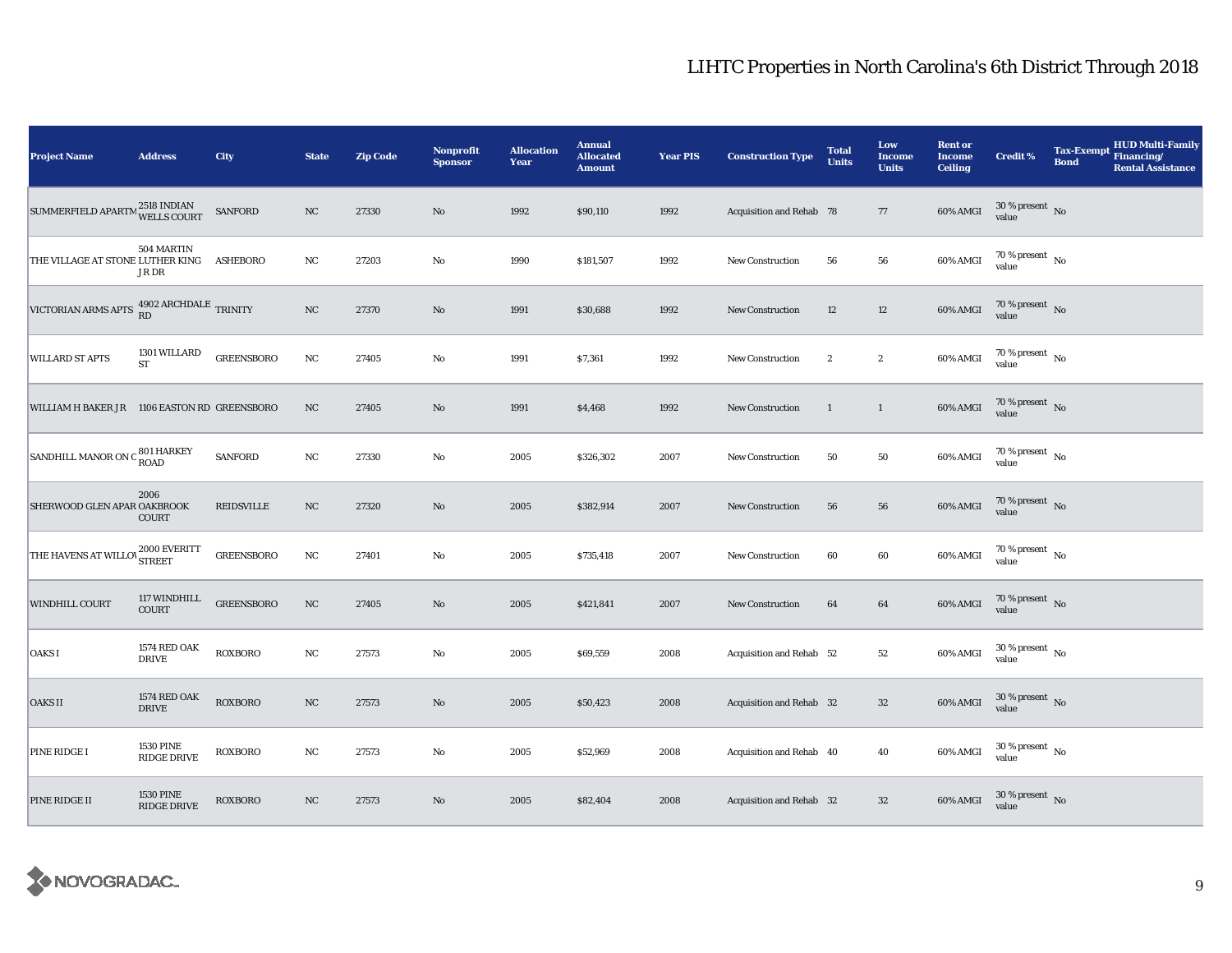| <b>Project Name</b>                                 | <b>Address</b>                      | City              | <b>State</b> | <b>Zip Code</b> | Nonprofit<br><b>Sponsor</b> | <b>Allocation</b><br>Year | <b>Annual</b><br><b>Allocated</b><br><b>Amount</b> | <b>Year PIS</b> | <b>Construction Type</b> | <b>Total</b><br><b>Units</b> | Low<br><b>Income</b><br><b>Units</b> | <b>Rent or</b><br><b>Income</b><br><b>Ceiling</b> | <b>Credit %</b>                        | <b>Tax-Exempt</b><br><b>Bond</b> | HUD Multi-Family<br>Financing/<br><b>Rental Assistance</b> |
|-----------------------------------------------------|-------------------------------------|-------------------|--------------|-----------------|-----------------------------|---------------------------|----------------------------------------------------|-----------------|--------------------------|------------------------------|--------------------------------------|---------------------------------------------------|----------------------------------------|----------------------------------|------------------------------------------------------------|
| SUMMERFIELD APARTM 2518 INDIAN<br>WELLS COURT       |                                     | SANFORD           | $_{\rm NC}$  | 27330           | $\rm No$                    | 1992                      | \$90,110                                           | 1992            | Acquisition and Rehab 78 |                              | 77                                   | 60% AMGI                                          | $30$ % present $\,$ No $\,$<br>value   |                                  |                                                            |
| THE VILLAGE AT STONE LUTHER KING                    | 504 MARTIN<br>JR DR                 | <b>ASHEBORO</b>   | $_{\rm NC}$  | 27203           | $\rm No$                    | 1990                      | \$181,507                                          | 1992            | <b>New Construction</b>  | 56                           | 56                                   | 60% AMGI                                          | $70$ % present $\,$ No $\,$<br>value   |                                  |                                                            |
| VICTORIAN ARMS APTS 4902 ARCHDALE TRINITY           |                                     |                   | $_{\rm NC}$  | 27370           | $\rm No$                    | 1991                      | \$30,688                                           | 1992            | <b>New Construction</b>  | 12                           | $12\,$                               | 60% AMGI                                          | $70\,\%$ present $\,$ No value         |                                  |                                                            |
| <b>WILLARD ST APTS</b>                              | 1301 WILLARD<br><b>ST</b>           | <b>GREENSBORO</b> | $_{\rm NC}$  | 27405           | No                          | 1991                      | \$7,361                                            | 1992            | <b>New Construction</b>  | $\overline{2}$               | $\boldsymbol{2}$                     | 60% AMGI                                          | 70 % present $\hbox{~No}$<br>value     |                                  |                                                            |
| WILLIAM H BAKER JR 1106 EASTON RD GREENSBORO        |                                     |                   | $_{\rm NC}$  | 27405           | $\rm No$                    | 1991                      | \$4,468                                            | 1992            | New Construction         | $\mathbf{1}$                 | $\mathbf{1}$                         | 60% AMGI                                          | $70\,\%$ present $\,$ No value         |                                  |                                                            |
| SANDHILL MANOR ON C 801 HARKEY                      |                                     | SANFORD           | $_{\rm NC}$  | 27330           | $\rm No$                    | 2005                      | \$326,302                                          | 2007            | New Construction         | 50                           | ${\bf 50}$                           | 60% AMGI                                          | $70$ % present $\,$ No $\,$<br>value   |                                  |                                                            |
| SHERWOOD GLEN APAR OAKBROOK                         | 2006<br><b>COURT</b>                | <b>REIDSVILLE</b> | NC           | 27320           | $\rm No$                    | 2005                      | \$382,914                                          | 2007            | <b>New Construction</b>  | 56                           | 56                                   | 60% AMGI                                          | $70\,\%$ present $$$ No value          |                                  |                                                            |
| THE HAVENS AT WILLOV $_{\rm STREF}^{2000\rm~EVERT}$ |                                     | <b>GREENSBORO</b> | $_{\rm NC}$  | 27401           | No                          | 2005                      | \$735,418                                          | 2007            | <b>New Construction</b>  | 60                           | $60\,$                               | 60% AMGI                                          | $70\,\%$ present $\,$ No value         |                                  |                                                            |
| WINDHILL COURT                                      | 117 WINDHILL<br>COURT               | <b>GREENSBORO</b> | $_{\rm NC}$  | 27405           | $\rm No$                    | 2005                      | \$421,841                                          | 2007            | New Construction         | 64                           | $\bf{64}$                            | 60% AMGI                                          | $70\,\%$ present $\,$ No value         |                                  |                                                            |
| <b>OAKSI</b>                                        | <b>1574 RED OAK</b><br><b>DRIVE</b> | <b>ROXBORO</b>    | NC           | 27573           | No                          | 2005                      | \$69,559                                           | 2008            | Acquisition and Rehab 52 |                              | 52                                   | 60% AMGI                                          | $30\,\%$ present $\,$ No $\,$<br>value |                                  |                                                            |
| <b>OAKS II</b>                                      | <b>1574 RED OAK</b><br><b>DRIVE</b> | <b>ROXBORO</b>    | $_{\rm NC}$  | 27573           | $\rm No$                    | 2005                      | \$50,423                                           | 2008            | Acquisition and Rehab 32 |                              | $32\,$                               | 60% AMGI                                          | $30$ % present $\,$ No $\,$<br>value   |                                  |                                                            |
| PINE RIDGE I                                        | <b>1530 PINE</b><br>RIDGE DRIVE     | <b>ROXBORO</b>    | $_{\rm NC}$  | 27573           | No                          | 2005                      | \$52,969                                           | 2008            | Acquisition and Rehab 40 |                              | 40                                   | 60% AMGI                                          | $30\,\%$ present $\,$ No value         |                                  |                                                            |
| PINE RIDGE II                                       | <b>1530 PINE</b><br>RIDGE DRIVE     | <b>ROXBORO</b>    | NC           | 27573           | $\rm No$                    | 2005                      | \$82,404                                           | 2008            | Acquisition and Rehab 32 |                              | $32\,$                               | 60% AMGI                                          | $30\,\%$ present $\,$ No value         |                                  |                                                            |

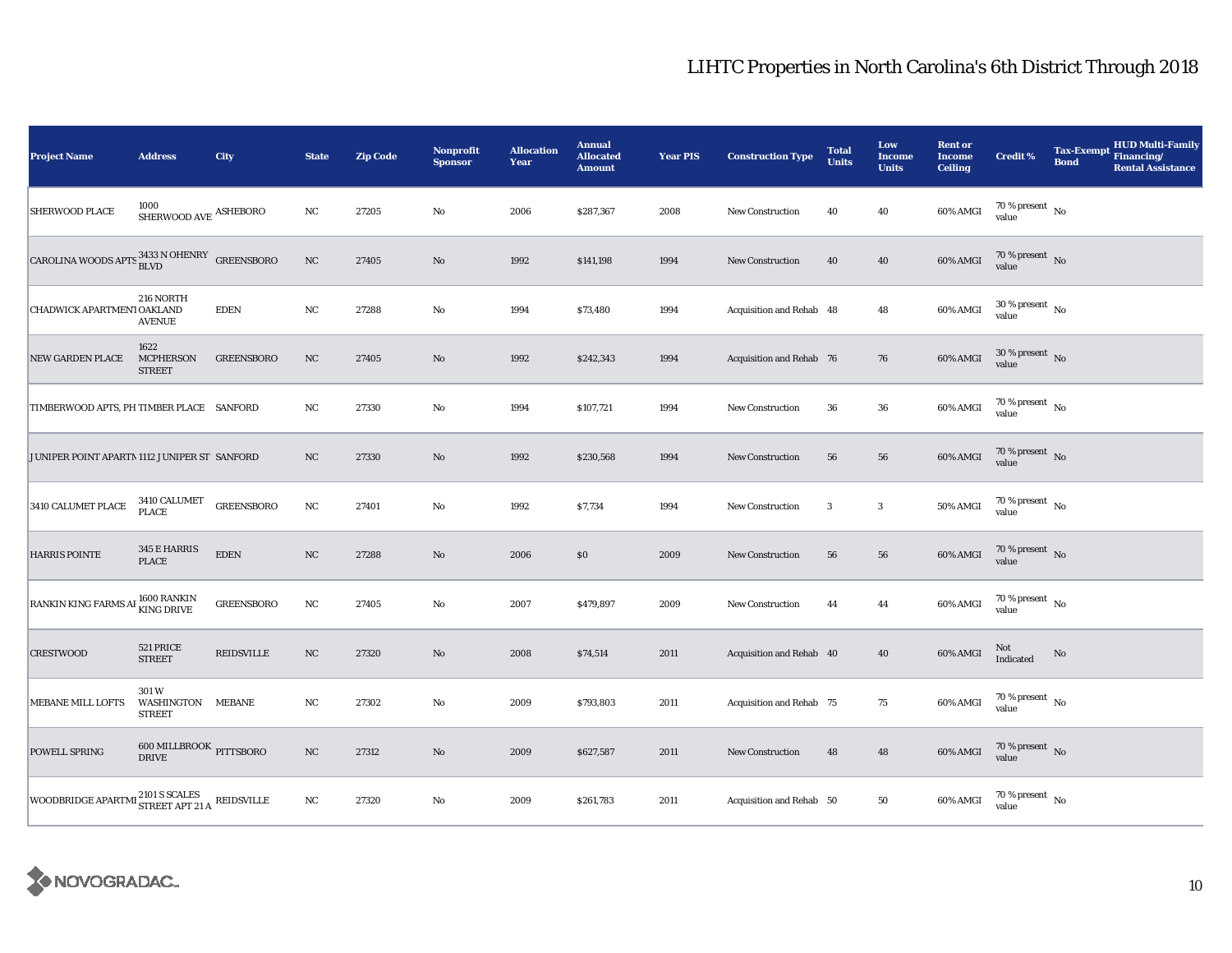| <b>Project Name</b>                                                              | <b>Address</b>                             | City              | <b>State</b> | <b>Zip Code</b> | Nonprofit<br><b>Sponsor</b> | <b>Allocation</b><br>Year | <b>Annual</b><br><b>Allocated</b><br><b>Amount</b> | <b>Year PIS</b> | <b>Construction Type</b>        | <b>Total</b><br><b>Units</b> | Low<br><b>Income</b><br><b>Units</b> | <b>Rent or</b><br><b>Income</b><br><b>Ceiling</b> | <b>Credit %</b>                        | <b>Bond</b> | <b>HUD Multi-Family</b><br>Tax-Exempt Financing/<br><b>Rental Assistance</b> |
|----------------------------------------------------------------------------------|--------------------------------------------|-------------------|--------------|-----------------|-----------------------------|---------------------------|----------------------------------------------------|-----------------|---------------------------------|------------------------------|--------------------------------------|---------------------------------------------------|----------------------------------------|-------------|------------------------------------------------------------------------------|
| <b>SHERWOOD PLACE</b>                                                            | 1000<br>SHERWOOD AVE $\,$ ASHEBORO         |                   | $_{\rm NC}$  | 27205           | $\rm No$                    | 2006                      | \$287,367                                          | 2008            | New Construction                | 40                           | 40                                   | 60% AMGI                                          | 70 % present $\hbox{~No}$<br>value     |             |                                                                              |
| CAROLINA WOODS APTS $_{\hbox{\scriptsize BLVD}}^{\rm 3433\,N~OHENRY}$ GREENSBORO |                                            |                   | NC           | 27405           | No                          | 1992                      | \$141,198                                          | 1994            | <b>New Construction</b>         | 40                           | 40                                   | 60% AMGI                                          | $70\,\%$ present $\,$ No $\,$<br>value |             |                                                                              |
| CHADWICK APARTMENT OAKLAND                                                       | 216 NORTH<br><b>AVENUE</b>                 | <b>EDEN</b>       | $_{\rm NC}$  | 27288           | No                          | 1994                      | \$73,480                                           | 1994            | Acquisition and Rehab 48        |                              | 48                                   | 60% AMGI                                          | $30\,\%$ present $\,$ No value         |             |                                                                              |
| <b>NEW GARDEN PLACE</b>                                                          | 1622<br><b>MCPHERSON</b><br><b>STREET</b>  | <b>GREENSBORO</b> | NC           | 27405           | No                          | 1992                      | \$242,343                                          | 1994            | <b>Acquisition and Rehab 76</b> |                              | 76                                   | 60% AMGI                                          | $30\,\%$ present $\,$ No value         |             |                                                                              |
| TIMBERWOOD APTS, PH TIMBER PLACE SANFORD                                         |                                            |                   | NC           | 27330           | No                          | 1994                      | \$107,721                                          | 1994            | <b>New Construction</b>         | 36                           | 36                                   | 60% AMGI                                          | 70 % present $\hbox{~No}$<br>value     |             |                                                                              |
| JUNIPER POINT APARTM 1112 JUNIPER ST SANFORD                                     |                                            |                   | NC           | 27330           | $\rm No$                    | 1992                      | \$230,568                                          | 1994            | New Construction                | 56                           | 56                                   | 60% AMGI                                          | $70\,\%$ present $\,$ No value         |             |                                                                              |
| 3410 CALUMET PLACE                                                               | 3410 CALUMET<br>PLACE                      | <b>GREENSBORO</b> | $_{\rm NC}$  | 27401           | No                          | 1992                      | \$7,734                                            | 1994            | New Construction                | $\mathbf{3}$                 | $\mathbf{3}$                         | <b>50% AMGI</b>                                   | $70$ % present $\,$ No $\,$<br>value   |             |                                                                              |
| <b>HARRIS POINTE</b>                                                             | 345 E HARRIS<br><b>PLACE</b>               | <b>EDEN</b>       | $_{\rm NC}$  | 27288           | $\rm No$                    | 2006                      | \$0                                                | 2009            | <b>New Construction</b>         | 56                           | 56                                   | 60% AMGI                                          | 70 % present $\,$ No $\,$<br>value     |             |                                                                              |
| RANKIN KING FARMS AF 1600 RANKIN                                                 |                                            | <b>GREENSBORO</b> | $_{\rm NC}$  | 27405           | $\rm No$                    | 2007                      | \$479,897                                          | 2009            | New Construction                | 44                           | 44                                   | 60% AMGI                                          | $70$ % present $\,$ No $\,$<br>value   |             |                                                                              |
| <b>CRESTWOOD</b>                                                                 | 521 PRICE<br><b>STREET</b>                 | <b>REIDSVILLE</b> | NC           | 27320           | No                          | 2008                      | \$74,514                                           | 2011            | Acquisition and Rehab 40        |                              | 40                                   | 60% AMGI                                          | Not<br>Indicated                       | No          |                                                                              |
| <b>MEBANE MILL LOFTS</b>                                                         | 301W<br>WASHINGTON MEBANE<br><b>STREET</b> |                   | $_{\rm NC}$  | 27302           | No                          | 2009                      | \$793,803                                          | 2011            | Acquisition and Rehab 75        |                              | 75                                   | 60% AMGI                                          | 70 % present $\hbox{~No}$<br>value     |             |                                                                              |
| POWELL SPRING                                                                    | $600\, \rm{MILLBROOK}$ PITTSBORO DRIVE     |                   | $_{\rm NC}$  | 27312           | $\rm No$                    | 2009                      | \$627,587                                          | 2011            | <b>New Construction</b>         | 48                           | 48                                   | 60% AMGI                                          | $70\,\%$ present $\,$ No value         |             |                                                                              |
| WOODBRIDGE APARTMI $^{2101}$ S SCALES REIDSVILLE                                 |                                            |                   | NC           | 27320           | No                          | 2009                      | \$261,783                                          | 2011            | Acquisition and Rehab 50        |                              | 50                                   | 60% AMGI                                          | $70$ % present $\,$ No $\,$<br>value   |             |                                                                              |

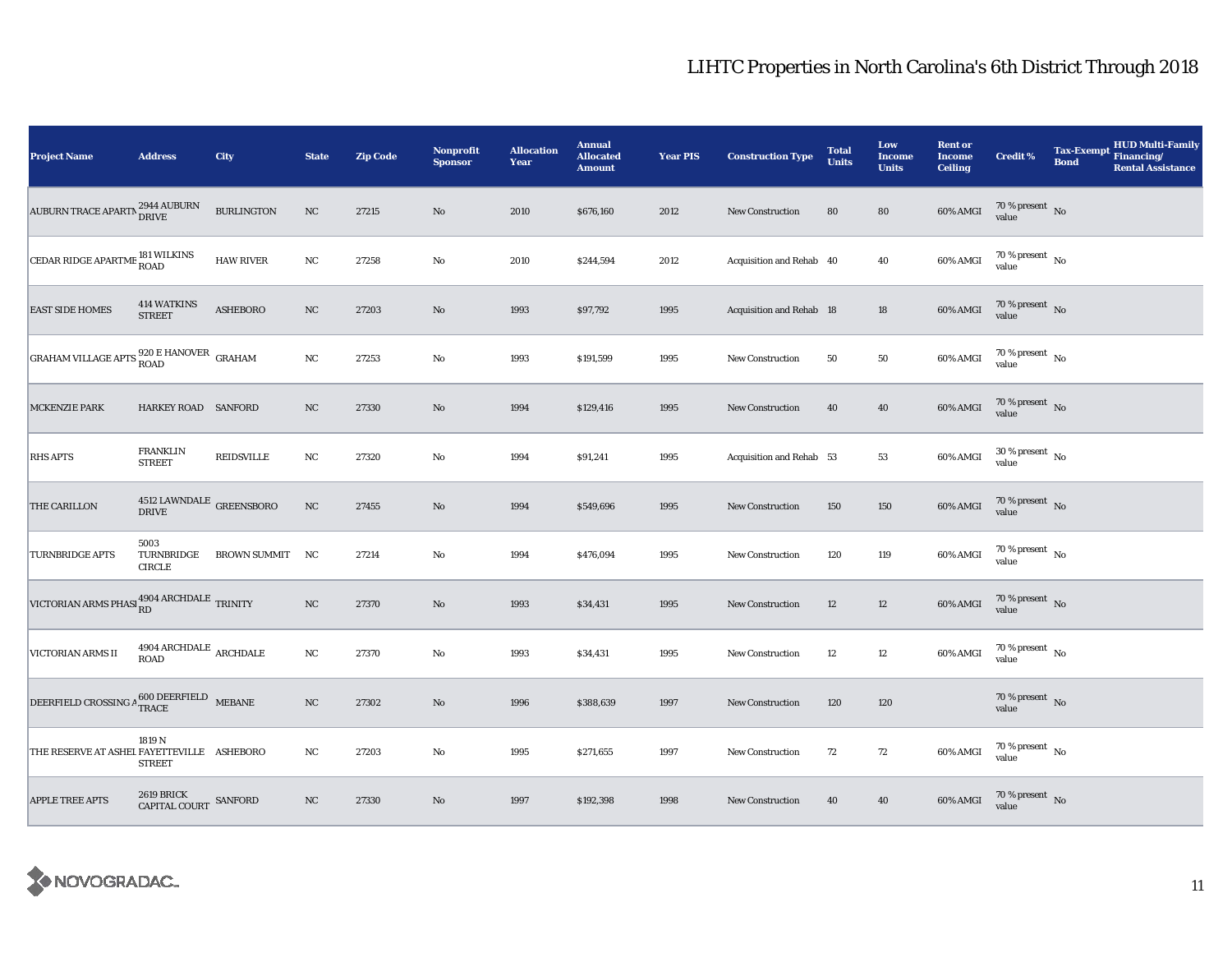| <b>Project Name</b>                                                    | <b>Address</b>                               | City              | <b>State</b> | <b>Zip Code</b> | Nonprofit<br><b>Sponsor</b> | <b>Allocation</b><br>Year | <b>Annual</b><br><b>Allocated</b><br><b>Amount</b> | <b>Year PIS</b> | <b>Construction Type</b> | <b>Total</b><br><b>Units</b> | Low<br><b>Income</b><br><b>Units</b> | <b>Rent or</b><br><b>Income</b><br><b>Ceiling</b> | <b>Credit %</b>                        | <b>Tax-Exempt</b><br><b>Bond</b> | <b>HUD Multi-Family</b><br>Financing/<br><b>Rental Assistance</b> |
|------------------------------------------------------------------------|----------------------------------------------|-------------------|--------------|-----------------|-----------------------------|---------------------------|----------------------------------------------------|-----------------|--------------------------|------------------------------|--------------------------------------|---------------------------------------------------|----------------------------------------|----------------------------------|-------------------------------------------------------------------|
| AUBURN TRACE APARTN 2944 AUBURN                                        |                                              | <b>BURLINGTON</b> | NC           | 27215           | $\rm\thinspace No$          | 2010                      | \$676,160                                          | 2012            | New Construction         | 80                           | 80                                   | 60% AMGI                                          | $70\,\%$ present $\,$ No value         |                                  |                                                                   |
| CEDAR RIDGE APARTME 181 WILKINS                                        |                                              | <b>HAW RIVER</b>  | $_{\rm NC}$  | 27258           | $\rm No$                    | 2010                      | \$244,594                                          | 2012            | Acquisition and Rehab 40 |                              | 40                                   | 60% AMGI                                          | $70$ % present $\,$ No $\,$<br>value   |                                  |                                                                   |
| <b>EAST SIDE HOMES</b>                                                 | <b>414 WATKINS</b><br><b>STREET</b>          | <b>ASHEBORO</b>   | $_{\rm NC}$  | 27203           | No                          | 1993                      | \$97,792                                           | 1995            | Acquisition and Rehab 18 |                              | $18\,$                               | 60% AMGI                                          | $70\,\%$ present $\,$ No value         |                                  |                                                                   |
| GRAHAM VILLAGE APTS 820 E HANOVER GRAHAM                               |                                              |                   | $_{\rm NC}$  | 27253           | No                          | 1993                      | \$191,599                                          | 1995            | <b>New Construction</b>  | 50                           | ${\bf 50}$                           | 60% AMGI                                          | $70\,\%$ present $\,$ No value         |                                  |                                                                   |
| <b>MCKENZIE PARK</b>                                                   | HARKEY ROAD SANFORD                          |                   | NC           | 27330           | $\rm No$                    | 1994                      | \$129,416                                          | 1995            | <b>New Construction</b>  | 40                           | 40                                   | 60% AMGI                                          | $70\,\%$ present $\,$ No value         |                                  |                                                                   |
| <b>RHS APTS</b>                                                        | <b>FRANKLIN</b><br><b>STREET</b>             | <b>REIDSVILLE</b> | NC           | 27320           | No                          | 1994                      | \$91,241                                           | 1995            | Acquisition and Rehab 53 |                              | 53                                   | 60% AMGI                                          | $30\,\%$ present $\,$ No $\,$<br>value |                                  |                                                                   |
| THE CARILLON                                                           | $4512$ LAWNDALE $\:$ GREENSBORO DRIVE        |                   | $_{\rm NC}$  | 27455           | $\rm No$                    | 1994                      | \$549,696                                          | 1995            | New Construction         | 150                          | 150                                  | $60\%$ AMGI                                       | $70\,\%$ present $\;$ No value         |                                  |                                                                   |
| <b>TURNBRIDGE APTS</b>                                                 | 5003<br>TURNBRIDGE<br><b>CIRCLE</b>          | BROWN SUMMIT NC   |              | 27214           | No                          | 1994                      | \$476,094                                          | 1995            | New Construction         | 120                          | 119                                  | 60% AMGI                                          | 70 % present $\,$ No $\,$<br>value     |                                  |                                                                   |
| VICTORIAN ARMS PHASI RD 4904 ARCHDALE TRINITY                          |                                              |                   | $_{\rm NC}$  | 27370           | $\rm No$                    | 1993                      | \$34,431                                           | 1995            | <b>New Construction</b>  | 12                           | $12\,$                               | 60% AMGI                                          | $70\,\%$ present $\,$ No value         |                                  |                                                                   |
| VICTORIAN ARMS II                                                      | $4904$ ARCHDALE $\,$ ARCHDALE<br><b>ROAD</b> |                   | $_{\rm NC}$  | 27370           | $\rm No$                    | 1993                      | \$34,431                                           | 1995            | <b>New Construction</b>  | 12                           | $12\,$                               | 60% AMGI                                          | $70\,\%$ present $\,$ No value         |                                  |                                                                   |
| DEERFIELD CROSSING A $_{\mbox{TRACE}}^{600 \mbox{\,DEERFIELD}}$ MEBANE |                                              |                   | NC           | 27302           | No                          | 1996                      | \$388,639                                          | 1997            | New Construction         | 120                          | 120                                  |                                                   | $70\,\%$ present $\;$ No value         |                                  |                                                                   |
| THE RESERVE AT ASHEL FAYETTEVILLE ASHEBORO                             | 1819 N<br><b>STREET</b>                      |                   | $_{\rm NC}$  | 27203           | No                          | 1995                      | \$271,655                                          | 1997            | <b>New Construction</b>  | 72                           | 72                                   | 60% AMGI                                          | $70\,\%$ present $\,$ No value         |                                  |                                                                   |
| <b>APPLE TREE APTS</b>                                                 | 2619 BRICK<br>CAPITAL COURT SANFORD          |                   | NC           | 27330           | No                          | 1997                      | \$192,398                                          | 1998            | New Construction         | 40                           | 40                                   | 60% AMGI                                          | $70\,\%$ present $\,$ No value         |                                  |                                                                   |

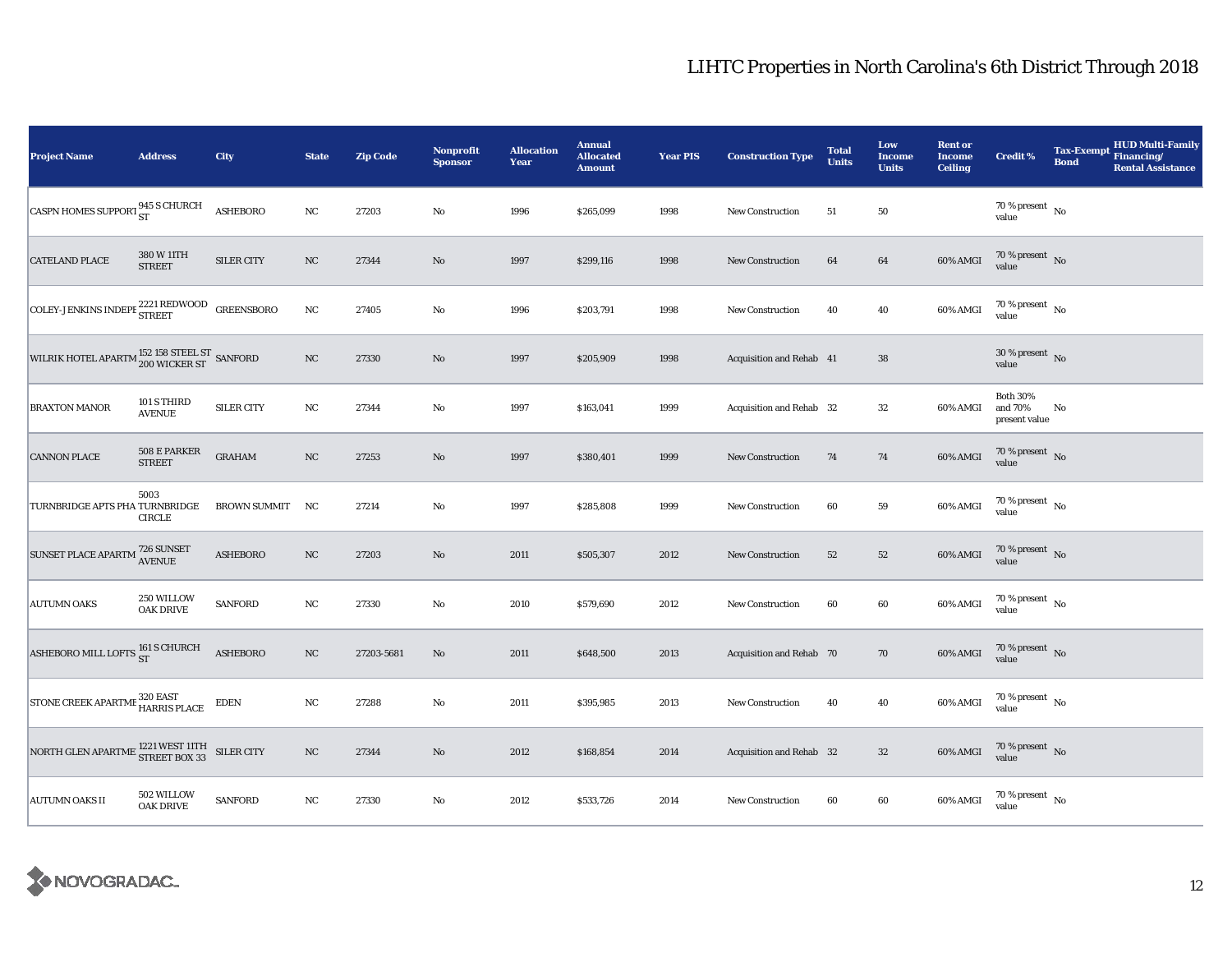| <b>Project Name</b>                                                                                                                                | <b>Address</b>                 | City                | <b>State</b> | <b>Zip Code</b> | Nonprofit<br><b>Sponsor</b> | <b>Allocation</b><br>Year | <b>Annual</b><br><b>Allocated</b><br><b>Amount</b> | <b>Year PIS</b> | <b>Construction Type</b> | <b>Total</b><br><b>Units</b> | Low<br><b>Income</b><br><b>Units</b> | <b>Rent or</b><br><b>Income</b><br><b>Ceiling</b> | <b>Credit %</b>                             | <b>Tax-Exempt</b><br><b>Bond</b> | <b>HUD Multi-Family</b><br>Financing/<br><b>Rental Assistance</b> |
|----------------------------------------------------------------------------------------------------------------------------------------------------|--------------------------------|---------------------|--------------|-----------------|-----------------------------|---------------------------|----------------------------------------------------|-----------------|--------------------------|------------------------------|--------------------------------------|---------------------------------------------------|---------------------------------------------|----------------------------------|-------------------------------------------------------------------|
| CASPN HOMES SUPPORT 945 S CHURCH                                                                                                                   |                                | <b>ASHEBORO</b>     | $_{\rm NC}$  | 27203           | No                          | 1996                      | \$265,099                                          | 1998            | <b>New Construction</b>  | 51                           | 50                                   |                                                   | 70 % present $\hbox{~No}$<br>value          |                                  |                                                                   |
| <b>CATELAND PLACE</b>                                                                                                                              | 380 W 11TH<br><b>STREET</b>    | <b>SILER CITY</b>   | NC           | 27344           | $\rm No$                    | 1997                      | \$299,116                                          | 1998            | <b>New Construction</b>  | 64                           | 64                                   | 60% AMGI                                          | $70\,\%$ present $\,$ No $\,$<br>value      |                                  |                                                                   |
| $\begin{array}{ l } \hline \text{COLEY-JENKINS INDEPF}\textcolor{red}{\,\textcolor{blue}{2221\,\text{REDWOOD}}}\quad\text{GREENSBORO} \end{array}$ |                                |                     | $_{\rm NC}$  | 27405           | $\rm No$                    | 1996                      | \$203,791                                          | 1998            | <b>New Construction</b>  | 40                           | 40                                   | 60% AMGI                                          | $70\,\%$ present $\,$ No value              |                                  |                                                                   |
| WILRIK HOTEL APARTM $^{152}_{200}$ WICKER ST SANFORD                                                                                               |                                |                     | $_{\rm NC}$  | 27330           | $\rm No$                    | 1997                      | \$205,909                                          | 1998            | Acquisition and Rehab 41 |                              | ${\bf 38}$                           |                                                   | $30\,\%$ present $\,$ No value              |                                  |                                                                   |
| <b>BRAXTON MANOR</b>                                                                                                                               | 101 S THIRD<br><b>AVENUE</b>   | <b>SILER CITY</b>   | $_{\rm NC}$  | 27344           | No                          | 1997                      | \$163,041                                          | 1999            | Acquisition and Rehab 32 |                              | 32                                   | 60% AMGI                                          | <b>Both 30%</b><br>and 70%<br>present value | No                               |                                                                   |
| <b>CANNON PLACE</b>                                                                                                                                | 508 E PARKER<br><b>STREET</b>  | <b>GRAHAM</b>       | $_{\rm NC}$  | 27253           | $\mathbf{N}\mathbf{o}$      | 1997                      | \$380,401                                          | 1999            | New Construction         | 74                           | 74                                   | 60% AMGI                                          | $70\,\%$ present $\,$ No value              |                                  |                                                                   |
| TURNBRIDGE APTS PHA TURNBRIDGE                                                                                                                     | 5003<br><b>CIRCLE</b>          | <b>BROWN SUMMIT</b> | NC           | 27214           | $\rm No$                    | 1997                      | \$285,808                                          | 1999            | <b>New Construction</b>  | 60                           | ${\bf 59}$                           | 60% AMGI                                          | $70$ % present $_{\, \rm No}$<br>value      |                                  |                                                                   |
| SUNSET PLACE APARTM <sup>726</sup> SUNSET                                                                                                          |                                | <b>ASHEBORO</b>     | NC           | 27203           | $\mathbf{N}\mathbf{o}$      | 2011                      | \$505,307                                          | 2012            | New Construction         | 52                           | ${\bf 52}$                           | 60% AMGI                                          | 70 % present $\,$ No $\,$<br>value          |                                  |                                                                   |
| <b>AUTUMN OAKS</b>                                                                                                                                 | 250 WILLOW<br><b>OAK DRIVE</b> | <b>SANFORD</b>      | $_{\rm NC}$  | 27330           | No                          | 2010                      | \$579,690                                          | 2012            | <b>New Construction</b>  | 60                           | 60                                   | 60% AMGI                                          | $70\,\%$ present $\,$ No value              |                                  |                                                                   |
| ASHEBORO MILL LOFTS $_{\rm ST}^{161\text{ S}$ CHURCH                                                                                               |                                | <b>ASHEBORO</b>     | $_{\rm NC}$  | 27203-5681      | $\rm No$                    | 2011                      | \$648,500                                          | 2013            | Acquisition and Rehab 70 |                              | 70                                   | 60% AMGI                                          | $70\,\%$ present $\,$ No value              |                                  |                                                                   |
| STONE CREEK APARTME 320 EAST<br>HARRIS PLACE                                                                                                       |                                | <b>EDEN</b>         | $_{\rm NC}$  | 27288           | No                          | 2011                      | \$395,985                                          | 2013            | New Construction         | 40                           | 40                                   | 60% AMGI                                          | 70 % present $\hbox{~No}$<br>value          |                                  |                                                                   |
| NORTH GLEN APARTME $^{1221}_{\text{STREET BOX 33}}$ SILER CITY                                                                                     |                                |                     | $_{\rm NC}$  | 27344           | $\rm No$                    | 2012                      | \$168,854                                          | 2014            | Acquisition and Rehab 32 |                              | $32\,$                               | 60% AMGI                                          | $70\,\%$ present $\,$ No value              |                                  |                                                                   |
| <b>AUTUMN OAKS II</b>                                                                                                                              | 502 WILLOW<br><b>OAK DRIVE</b> | SANFORD             | $_{\rm NC}$  | 27330           | No                          | 2012                      | \$533,726                                          | 2014            | <b>New Construction</b>  | 60                           | 60                                   | 60% AMGI                                          | $70$ % present $\,$ No $\,$<br>value        |                                  |                                                                   |

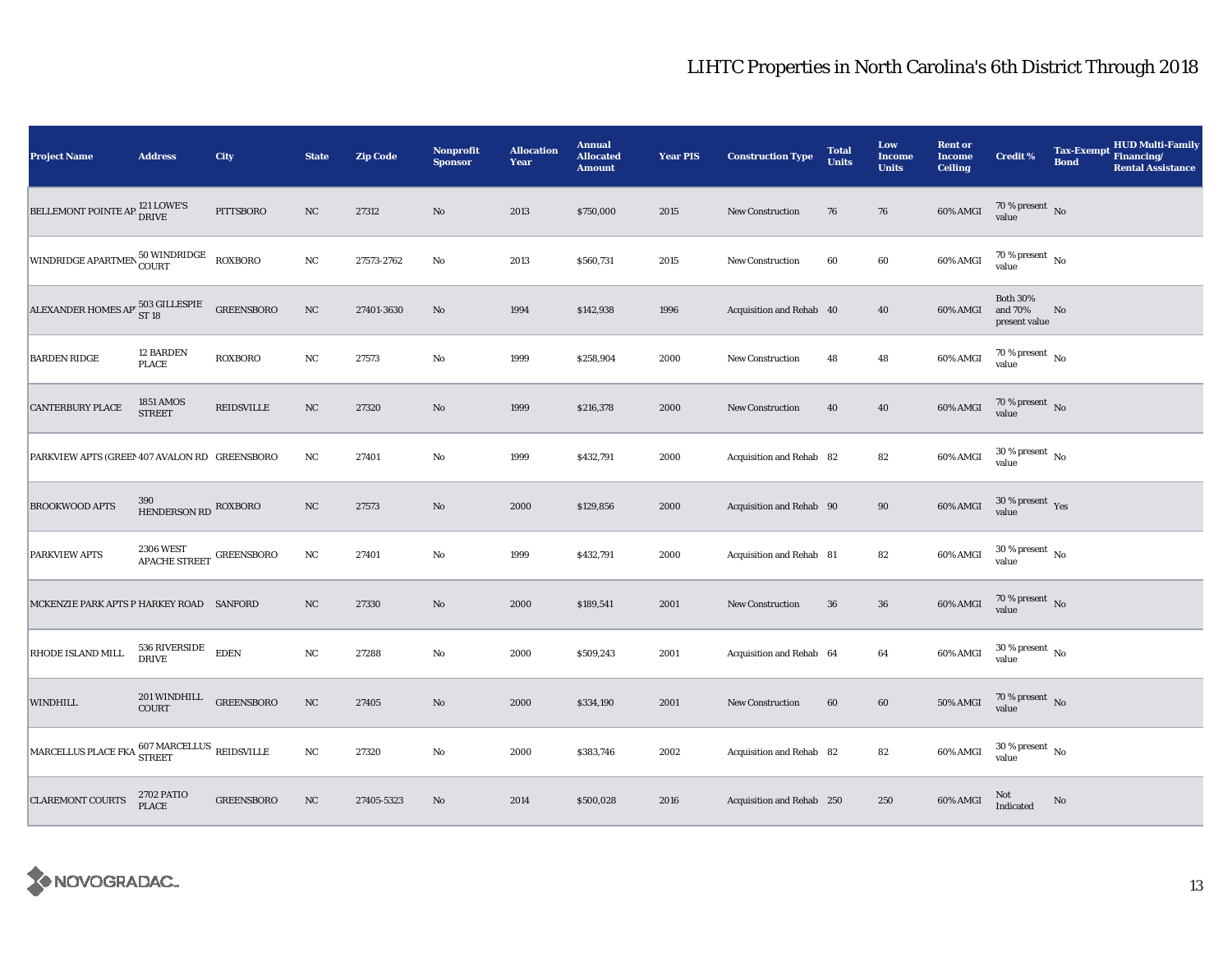| <b>Project Name</b>                                                                                                                                            | <b>Address</b>                         | <b>City</b>       | <b>State</b> | <b>Zip Code</b> | Nonprofit<br><b>Sponsor</b> | <b>Allocation</b><br>Year | <b>Annual</b><br><b>Allocated</b><br><b>Amount</b> | <b>Year PIS</b> | <b>Construction Type</b>  | <b>Total</b><br><b>Units</b> | Low<br><b>Income</b><br><b>Units</b> | <b>Rent or</b><br><b>Income</b><br><b>Ceiling</b> | <b>Credit %</b>                             | <b>Tax-Exempt</b><br><b>Bond</b> | HUD Multi-Family<br>Financing/<br><b>Rental Assistance</b> |
|----------------------------------------------------------------------------------------------------------------------------------------------------------------|----------------------------------------|-------------------|--------------|-----------------|-----------------------------|---------------------------|----------------------------------------------------|-----------------|---------------------------|------------------------------|--------------------------------------|---------------------------------------------------|---------------------------------------------|----------------------------------|------------------------------------------------------------|
| BELLEMONT POINTE AP <sup>121</sup> LOWE'S                                                                                                                      |                                        | PITTSBORO         | NC           | 27312           | $\rm No$                    | 2013                      | \$750,000                                          | 2015            | New Construction          | 76                           | 76                                   | 60% AMGI                                          | 70 % present $\hbox{~No}$<br>value          |                                  |                                                            |
| WINDRIDGE APARTMEN 50 WINDRIDGE                                                                                                                                |                                        | <b>ROXBORO</b>    | $_{\rm NC}$  | 27573-2762      | $\mathbf{No}$               | 2013                      | \$560,731                                          | 2015            | <b>New Construction</b>   | 60                           | 60                                   | 60% AMGI                                          | $70$ % present $\,$ No $\,$<br>value        |                                  |                                                            |
| ALEXANDER HOMES AP 503 GILLESPIE                                                                                                                               |                                        | <b>GREENSBORO</b> | $_{\rm NC}$  | 27401-3630      | $\rm No$                    | 1994                      | \$142,938                                          | 1996            | Acquisition and Rehab 40  |                              | 40                                   | 60% AMGI                                          | <b>Both 30%</b><br>and 70%<br>present value | No                               |                                                            |
| <b>BARDEN RIDGE</b>                                                                                                                                            | 12 BARDEN<br><b>PLACE</b>              | <b>ROXBORO</b>    | $_{\rm NC}$  | 27573           | No                          | 1999                      | \$258,904                                          | 2000            | <b>New Construction</b>   | 48                           | 48                                   | 60% AMGI                                          | $70$ % present $\,$ No $\,$<br>value        |                                  |                                                            |
| <b>CANTERBURY PLACE</b>                                                                                                                                        | 1851 AMOS<br><b>STREET</b>             | <b>REIDSVILLE</b> | $_{\rm NC}$  | 27320           | $\rm No$                    | 1999                      | \$216,378                                          | 2000            | <b>New Construction</b>   | 40                           | 40                                   | 60% AMGI                                          | $70\,\%$ present $\,$ No value              |                                  |                                                            |
| PARKVIEW APTS (GREEN 407 AVALON RD GREENSBORO                                                                                                                  |                                        |                   | $_{\rm NC}$  | 27401           | No                          | 1999                      | \$432,791                                          | 2000            | Acquisition and Rehab 82  |                              | 82                                   | 60% AMGI                                          | $30\,\%$ present $\,$ No $\,$<br>value      |                                  |                                                            |
| <b>BROOKWOOD APTS</b>                                                                                                                                          | 390<br>HENDERSON RD ROXBORO            |                   | NC           | 27573           | $\rm No$                    | 2000                      | \$129,856                                          | 2000            | Acquisition and Rehab 90  |                              | $90\,$                               | 60% AMGI                                          | $30\,\%$ present $\,$ Yes value             |                                  |                                                            |
| PARKVIEW APTS                                                                                                                                                  | APACHE STREET GREENSBORO               |                   | NC           | 27401           | No                          | 1999                      | \$432,791                                          | 2000            | Acquisition and Rehab 81  |                              | 82                                   | 60% AMGI                                          | $30$ % present $\,$ No $\,$<br>value        |                                  |                                                            |
| MCKENZIE PARK APTS P HARKEY ROAD SANFORD                                                                                                                       |                                        |                   | $_{\rm NC}$  | 27330           | $\rm No$                    | 2000                      | \$189,541                                          | 2001            | <b>New Construction</b>   | 36                           | ${\bf 36}$                           | 60% AMGI                                          | $70\,\%$ present $\,$ No value              |                                  |                                                            |
| RHODE ISLAND MILL                                                                                                                                              | $536\;{\rm RIVERSIDE}$<br><b>DRIVE</b> | <b>EDEN</b>       | $_{\rm NC}$  | 27288           | $\rm No$                    | 2000                      | \$509,243                                          | 2001            | Acquisition and Rehab 64  |                              | 64                                   | 60% AMGI                                          | $30\,\%$ present $\,$ No value              |                                  |                                                            |
| <b>WINDHILL</b>                                                                                                                                                | 201 WINDHILL<br>COURT                  | <b>GREENSBORO</b> | $_{\rm NC}$  | 27405           | No                          | 2000                      | \$334,190                                          | 2001            | <b>New Construction</b>   | 60                           | $60\,$                               | 50% AMGI                                          | $70\,\%$ present $\;$ No value              |                                  |                                                            |
| $\begin{array}{ l } \hbox{MARCELLUS PLACE FKA}\begin{array}{l@{}} 607\,\text{MARCHLUS}\end{array}\begin{array}{l@{}} \hbox{REIDSVILLE}\end{array} \end{array}$ |                                        |                   | $_{\rm NC}$  | 27320           | No                          | 2000                      | \$383,746                                          | 2002            | Acquisition and Rehab 82  |                              | 82                                   | 60% AMGI                                          | $30\,\%$ present $\,$ No value              |                                  |                                                            |
| <b>CLAREMONT COURTS</b>                                                                                                                                        | 2702 PATIO<br><b>PLACE</b>             | <b>GREENSBORO</b> | NC           | 27405-5323      | No                          | 2014                      | \$500,028                                          | 2016            | Acquisition and Rehab 250 |                              | 250                                  | 60% AMGI                                          | Not<br>Indicated                            | No                               |                                                            |

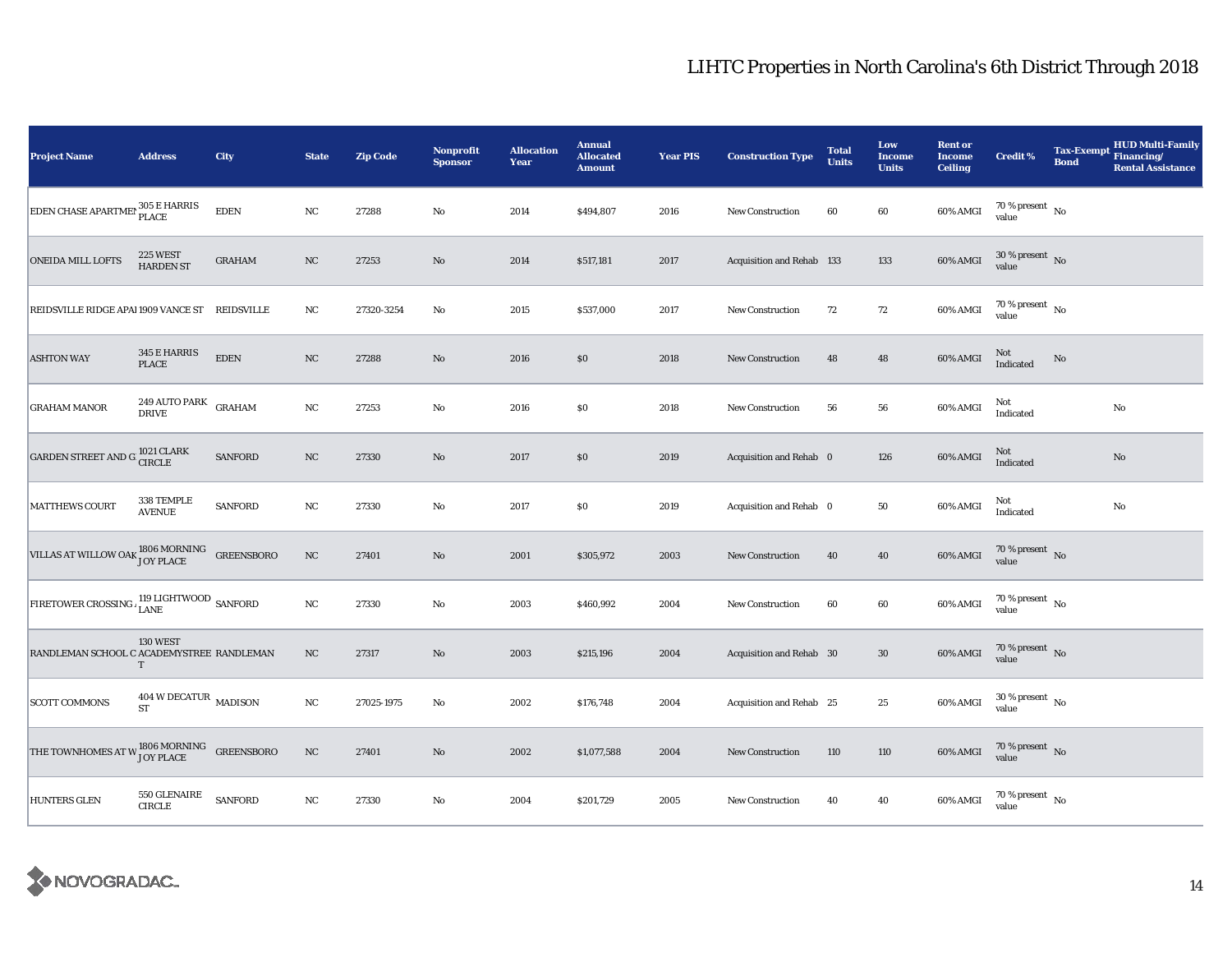| <b>Project Name</b>                                                   | <b>Address</b>                                 | City           | <b>State</b> | <b>Zip Code</b> | <b>Nonprofit</b><br><b>Sponsor</b> | <b>Allocation</b><br>Year | <b>Annual</b><br><b>Allocated</b><br><b>Amount</b> | <b>Year PIS</b> | <b>Construction Type</b>  | <b>Total</b><br><b>Units</b> | Low<br><b>Income</b><br><b>Units</b> | <b>Rent or</b><br><b>Income</b><br><b>Ceiling</b> | <b>Credit %</b>                    | <b>Tax-Exempt</b><br><b>Bond</b> | <b>HUD Multi-Family</b><br>Financing/<br><b>Rental Assistance</b> |
|-----------------------------------------------------------------------|------------------------------------------------|----------------|--------------|-----------------|------------------------------------|---------------------------|----------------------------------------------------|-----------------|---------------------------|------------------------------|--------------------------------------|---------------------------------------------------|------------------------------------|----------------------------------|-------------------------------------------------------------------|
| <b>EDEN CHASE APARTMEN</b> 305 E HARRIS                               |                                                | <b>EDEN</b>    | $_{\rm NC}$  | 27288           | $\rm No$                           | 2014                      | \$494,807                                          | 2016            | New Construction          | 60                           | $60\,$                               | 60% AMGI                                          | 70 % present $\hbox{~No}$<br>value |                                  |                                                                   |
| <b>ONEIDA MILL LOFTS</b>                                              | 225 WEST<br><b>HARDEN ST</b>                   | <b>GRAHAM</b>  | NC           | 27253           | $\mathbf{No}$                      | 2014                      | \$517,181                                          | 2017            | Acquisition and Rehab 133 |                              | 133                                  | 60% AMGI                                          | $30\,\%$ present $\,$ No value     |                                  |                                                                   |
| REIDSVILLE RIDGE APAI 1909 VANCE ST REIDSVILLE                        |                                                |                | $_{\rm NC}$  | 27320-3254      | No                                 | 2015                      | \$537,000                                          | 2017            | <b>New Construction</b>   | 72                           | $72\,$                               | 60% AMGI                                          | $70\,\%$ present $\,$ No value     |                                  |                                                                   |
| <b>ASHTON WAY</b>                                                     | 345 E HARRIS<br><b>PLACE</b>                   | <b>EDEN</b>    | NC           | 27288           | No                                 | 2016                      | \$0                                                | 2018            | <b>New Construction</b>   | 48                           | 48                                   | 60% AMGI                                          | Not<br>Indicated                   | No                               |                                                                   |
| <b>GRAHAM MANOR</b>                                                   | 249 AUTO PARK<br><b>DRIVE</b>                  | <b>GRAHAM</b>  | $_{\rm NC}$  | 27253           | $\mathbf{No}$                      | 2016                      | $\$0$                                              | 2018            | <b>New Construction</b>   | 56                           | ${\bf 56}$                           | 60% AMGI                                          | Not<br>Indicated                   |                                  | $\rm No$                                                          |
| GARDEN STREET AND G <sup>1021</sup> CLARK                             |                                                | <b>SANFORD</b> | $_{\rm NC}$  | 27330           | $\mathbf{N}\mathbf{o}$             | 2017                      | \$0                                                | 2019            | Acquisition and Rehab 0   |                              | 126                                  | 60% AMGI                                          | Not<br>Indicated                   |                                  | No                                                                |
| <b>MATTHEWS COURT</b>                                                 | 338 TEMPLE<br><b>AVENUE</b>                    | <b>SANFORD</b> | $_{\rm NC}$  | 27330           | No                                 | 2017                      | $\$0$                                              | 2019            | Acquisition and Rehab 0   |                              | 50                                   | 60% AMGI                                          | Not<br>Indicated                   |                                  | $\rm No$                                                          |
| VILLAS AT WILLOW OAK $^{1806\,MORMING}_{\rm JOY\ PLACE}$ GREENSBORO   |                                                |                | $_{\rm NC}$  | 27401           | $\mathbf{N}\mathbf{o}$             | 2001                      | \$305,972                                          | 2003            | New Construction          | 40                           | 40                                   | 60% AMGI                                          | 70 % present $\hbox{~No}$<br>value |                                  |                                                                   |
| FIRETOWER CROSSING LISHE LIGHTWOOD SANFORD                            |                                                |                | $_{\rm NC}$  | 27330           | $\mathbf{No}$                      | 2003                      | \$460,992                                          | 2004            | <b>New Construction</b>   | 60                           | 60                                   | 60% AMGI                                          | $70\,\%$ present $\,$ No value     |                                  |                                                                   |
| RANDLEMAN SCHOOL C ACADEMYSTREE RANDLEMAN                             | 130 WEST<br>T                                  |                | $_{\rm NC}$  | 27317           | $\mathbf{No}$                      | 2003                      | \$215,196                                          | 2004            | Acquisition and Rehab 30  |                              | $30\,$                               | 60% AMGI                                          | $70\,\%$ present $\,$ No value     |                                  |                                                                   |
| <b>SCOTT COMMONS</b>                                                  | $404$ W DECATUR $\,$ MADISON $\,$<br><b>ST</b> |                | $_{\rm NC}$  | 27025-1975      | No                                 | 2002                      | \$176,748                                          | 2004            | Acquisition and Rehab 25  |                              | $25\,$                               | 60% AMGI                                          | $30\,\%$ present $\,$ No value     |                                  |                                                                   |
| THE TOWNHOMES AT W $_{\rm JOY\ PLACE}^{\rm 1806\,MORMING}$ GREENSBORO |                                                |                | $_{\rm NC}$  | 27401           | $\mathbf{N}\mathbf{o}$             | 2002                      | \$1,077,588                                        | 2004            | <b>New Construction</b>   | 110                          | 110                                  | 60% AMGI                                          | $70\,\%$ present $\,$ No value     |                                  |                                                                   |
| <b>HUNTERS GLEN</b>                                                   | 550 GLENAIRE<br><b>CIRCLE</b>                  | <b>SANFORD</b> | $_{\rm NC}$  | 27330           | No                                 | 2004                      | \$201,729                                          | 2005            | <b>New Construction</b>   | 40                           | 40                                   | 60% AMGI                                          | $70\,\%$ present $\,$ No value     |                                  |                                                                   |

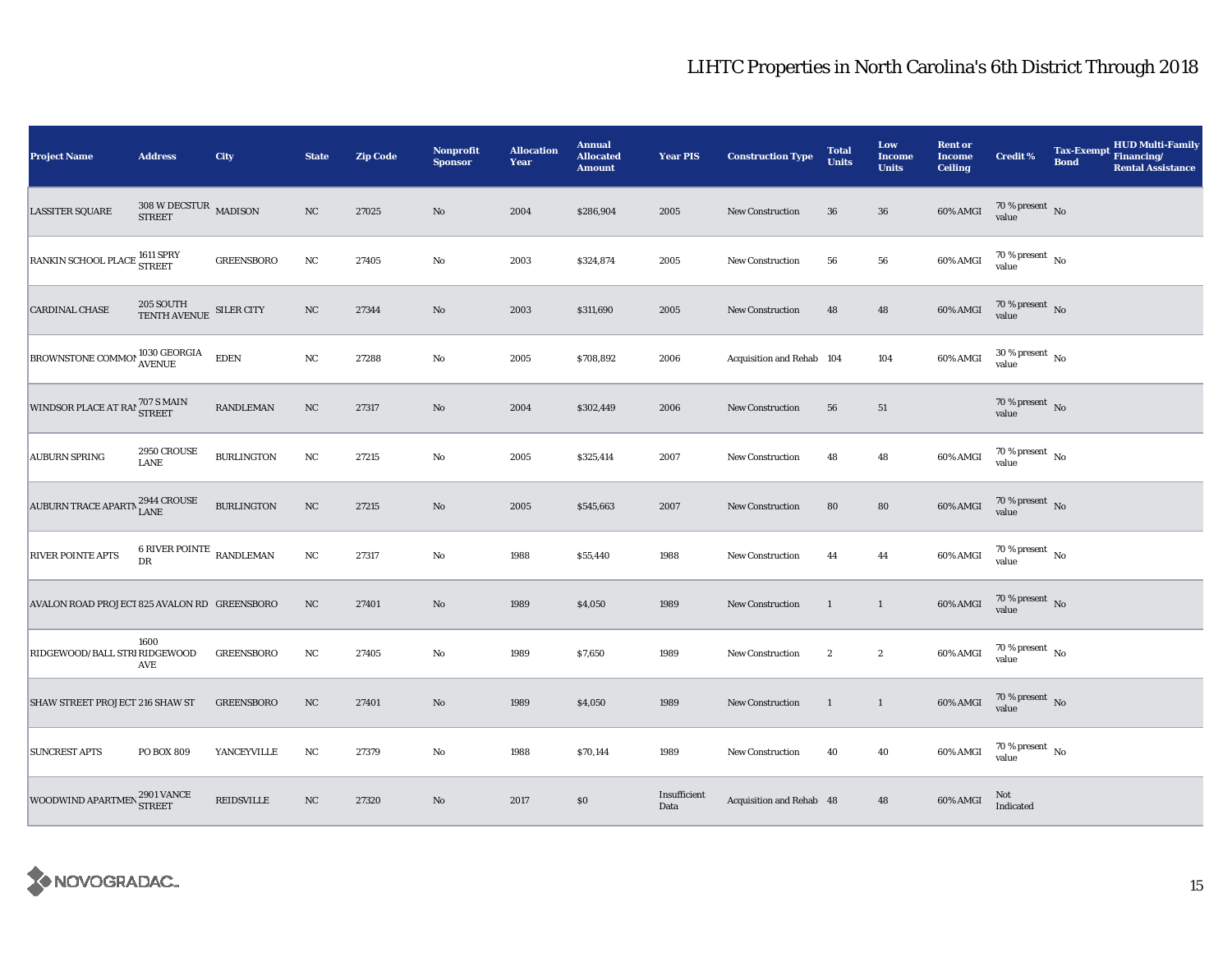| <b>Project Name</b>                          | <b>Address</b>                                     | City              | <b>State</b> | <b>Zip Code</b> | Nonprofit<br><b>Sponsor</b> | <b>Allocation</b><br>Year | <b>Annual</b><br><b>Allocated</b><br><b>Amount</b> | <b>Year PIS</b>      | <b>Construction Type</b>  | <b>Total</b><br><b>Units</b> | Low<br><b>Income</b><br><b>Units</b> | <b>Rent or</b><br><b>Income</b><br><b>Ceiling</b> | <b>Credit %</b>                      | <b>Tax-Exempt</b><br><b>Bond</b> | <b>HUD Multi-Family</b><br>Financing/<br><b>Rental Assistance</b> |
|----------------------------------------------|----------------------------------------------------|-------------------|--------------|-----------------|-----------------------------|---------------------------|----------------------------------------------------|----------------------|---------------------------|------------------------------|--------------------------------------|---------------------------------------------------|--------------------------------------|----------------------------------|-------------------------------------------------------------------|
| <b>LASSITER SQUARE</b>                       | $308$ W DECSTUR $\,$ MADISON $\,$<br><b>STREET</b> |                   | $_{\rm NC}$  | 27025           | $\rm No$                    | 2004                      | \$286,904                                          | 2005                 | <b>New Construction</b>   | 36                           | ${\bf 36}$                           | 60% AMGI                                          | 70 % present $\hbox{~No}$<br>value   |                                  |                                                                   |
| RANKIN SCHOOL PLACE 1611 SPRY                |                                                    | <b>GREENSBORO</b> | $_{\rm NC}$  | 27405           | No                          | 2003                      | \$324,874                                          | 2005                 | <b>New Construction</b>   | 56                           | 56                                   | 60% AMGI                                          | 70 % present $\,$ No $\,$<br>value   |                                  |                                                                   |
| <b>CARDINAL CHASE</b>                        | $205\, \rm{SOUTH}$ $\rm{SILER}$ $\rm{CITY}$        |                   | NC           | 27344           | No                          | 2003                      | \$311,690                                          | 2005                 | <b>New Construction</b>   | 48                           | 48                                   | 60% AMGI                                          | $70\,\%$ present $\,$ No value       |                                  |                                                                   |
| BROWNSTONE COMMON 1030 GEORGIA               |                                                    | <b>EDEN</b>       | $_{\rm NC}$  | 27288           | No                          | 2005                      | \$708,892                                          | 2006                 | Acquisition and Rehab 104 |                              | 104                                  | 60% AMGI                                          | $30$ % present $\,$ No $\,$<br>value |                                  |                                                                   |
| WINDSOR PLACE AT RAI 707 S MAIN              |                                                    | <b>RANDLEMAN</b>  | NC           | 27317           | $\rm No$                    | 2004                      | \$302,449                                          | 2006                 | New Construction          | 56                           | 51                                   |                                                   | 70 % present $\hbox{~No}$<br>value   |                                  |                                                                   |
| <b>AUBURN SPRING</b>                         | 2950 CROUSE<br><b>LANE</b>                         | <b>BURLINGTON</b> | $_{\rm NC}$  | 27215           | $\rm No$                    | 2005                      | \$325,414                                          | 2007                 | New Construction          | 48                           | 48                                   | 60% AMGI                                          | 70 % present $\hbox{~No}$<br>value   |                                  |                                                                   |
| AUBURN TRACE APARTN 2944 CROUSE              |                                                    | <b>BURLINGTON</b> | NC           | 27215           | No                          | 2005                      | \$545,663                                          | 2007                 | <b>New Construction</b>   | 80                           | 80                                   | 60% AMGI                                          | $70\,\%$ present $$$ No value        |                                  |                                                                   |
| <b>RIVER POINTE APTS</b>                     | 6 RIVER POINTE $\,$ RANDLEMAN<br>DR                |                   | $_{\rm NC}$  | 27317           | No                          | 1988                      | \$55,440                                           | 1988                 | <b>New Construction</b>   | 44                           | 44                                   | 60% AMGI                                          | $70\,\%$ present $\,$ No value       |                                  |                                                                   |
| AVALON ROAD PROJECT 825 AVALON RD GREENSBORO |                                                    |                   | $_{\rm NC}$  | 27401           | $\mathbf{N}\mathbf{o}$      | 1989                      | \$4,050                                            | 1989                 | New Construction          | 1                            | $\mathbf{1}$                         | 60% AMGI                                          | 70 % present $\,$ No $\,$<br>value   |                                  |                                                                   |
| RIDGEWOOD/BALL STRI RIDGEWOOD                | 1600<br>AVE                                        | <b>GREENSBORO</b> | $_{\rm NC}$  | 27405           | No                          | 1989                      | \$7,650                                            | 1989                 | New Construction          | $\boldsymbol{2}$             | $\boldsymbol{2}$                     | 60% AMGI                                          | $70$ % present $\,$ No $\,$<br>value |                                  |                                                                   |
| SHAW STREET PROJECT 216 SHAW ST              |                                                    | <b>GREENSBORO</b> | $_{\rm NC}$  | 27401           | No                          | 1989                      | \$4,050                                            | 1989                 | New Construction          | -1                           | $\mathbf{1}$                         | 60% AMGI                                          | 70 % present $\hbox{~No}$<br>value   |                                  |                                                                   |
| <b>SUNCREST APTS</b>                         | PO BOX 809                                         | YANCEYVILLE       | $_{\rm NC}$  | 27379           | No                          | 1988                      | \$70,144                                           | 1989                 | <b>New Construction</b>   | 40                           | 40                                   | 60% AMGI                                          | 70 % present $\hbox{~No}$<br>value   |                                  |                                                                   |
| WOODWIND APARTMEN 2901 VANCE                 |                                                    | <b>REIDSVILLE</b> | $_{\rm NC}$  | 27320           | No                          | 2017                      | $\$0$                                              | Insufficient<br>Data | Acquisition and Rehab 48  |                              | ${\bf 48}$                           | 60% AMGI                                          | Not<br>Indicated                     |                                  |                                                                   |

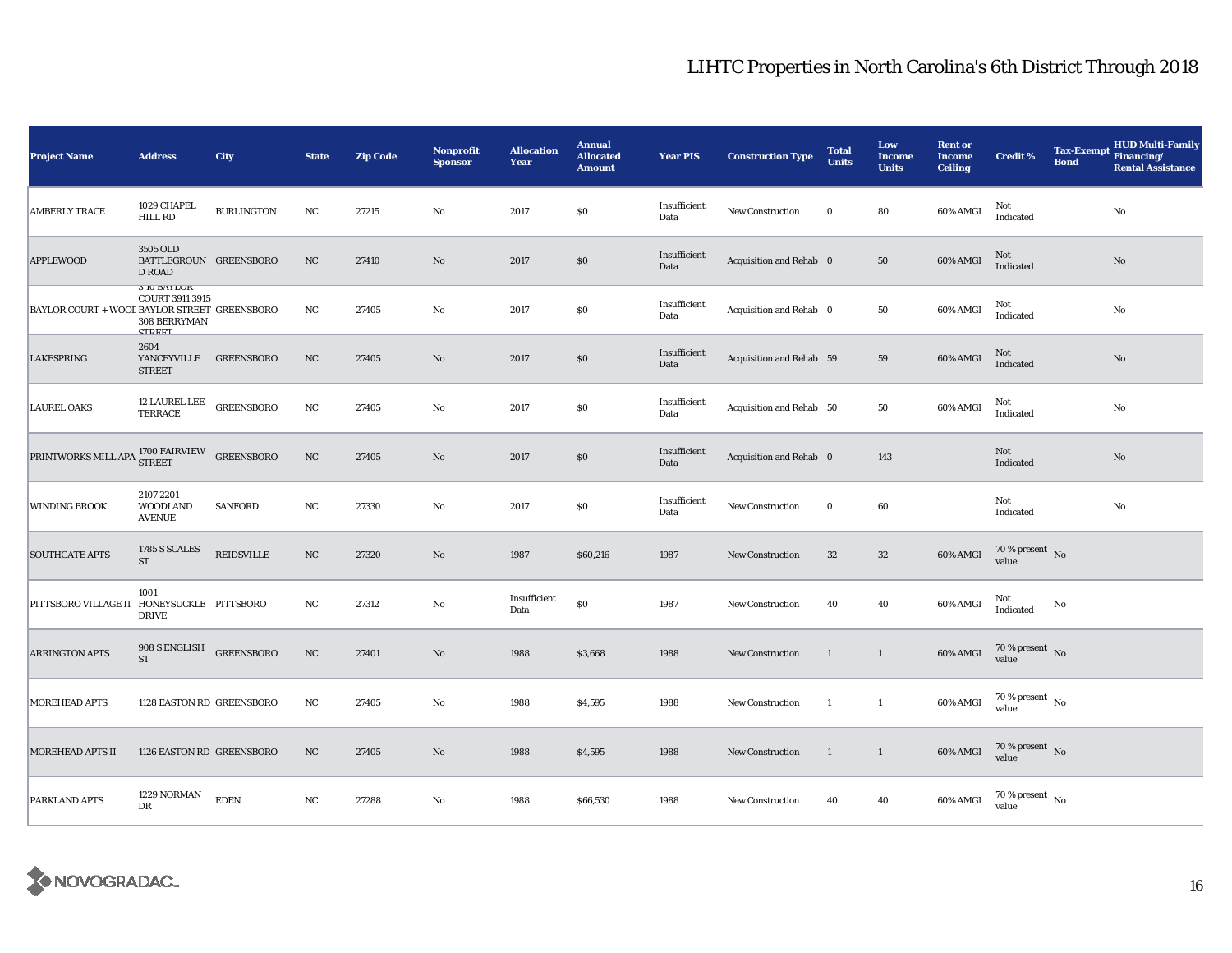| <b>Project Name</b>                                                      | <b>Address</b>                                                  | <b>City</b>       | <b>State</b> | <b>Zip Code</b> | <b>Nonprofit</b><br><b>Sponsor</b> | <b>Allocation</b><br>Year | <b>Annual</b><br><b>Allocated</b><br><b>Amount</b> | <b>Year PIS</b>      | <b>Construction Type</b> | <b>Total</b><br><b>Units</b> | Low<br><b>Income</b><br><b>Units</b> | <b>Rent or</b><br><b>Income</b><br><b>Ceiling</b> | <b>Credit %</b><br><b>Bond</b>       | <b>HUD Multi-Family</b><br>Tax-Exempt Financing/<br><b>Rental Assistance</b> |
|--------------------------------------------------------------------------|-----------------------------------------------------------------|-------------------|--------------|-----------------|------------------------------------|---------------------------|----------------------------------------------------|----------------------|--------------------------|------------------------------|--------------------------------------|---------------------------------------------------|--------------------------------------|------------------------------------------------------------------------------|
| <b>AMBERLY TRACE</b>                                                     | 1029 CHAPEL<br>HILL RD                                          | <b>BURLINGTON</b> | NC           | 27215           | No                                 | 2017                      | $\$0$                                              | Insufficient<br>Data | New Construction         | $\bf{0}$                     | 80                                   | 60% AMGI                                          | Not<br>Indicated                     | $\rm No$                                                                     |
| <b>APPLEWOOD</b>                                                         | 3505 OLD<br>BATTLEGROUN GREENSBORO<br><b>D ROAD</b>             |                   | NC           | 27410           | No                                 | 2017                      | $\$0$                                              | Insufficient<br>Data | Acquisition and Rehab 0  |                              | 50                                   | 60% AMGI                                          | Not<br>Indicated                     | No                                                                           |
| BAYLOR COURT + WOOL BAYLOR STREET GREENSBORO                             | <b>3 IU BATLUK</b><br>COURT 3911 3915<br>308 BERRYMAN<br>стреет |                   | NC           | 27405           | No                                 | 2017                      | \$0                                                | Insufficient<br>Data | Acquisition and Rehab 0  |                              | 50                                   | 60% AMGI                                          | Not<br>Indicated                     | $\mathbf{No}$                                                                |
| <b>LAKESPRING</b>                                                        | 2604<br>YANCEYVILLE GREENSBORO<br><b>STREET</b>                 |                   | NC           | 27405           | No                                 | 2017                      | \$0                                                | Insufficient<br>Data | Acquisition and Rehab 59 |                              | 59                                   | 60% AMGI                                          | Not<br>Indicated                     | $\mathbf{No}$                                                                |
| <b>LAUREL OAKS</b>                                                       | 12 LAUREL LEE<br>TERRACE                                        | <b>GREENSBORO</b> | NC           | 27405           | No                                 | 2017                      | \$0                                                | Insufficient<br>Data | Acquisition and Rehab 50 |                              | 50                                   | 60% AMGI                                          | Not<br>Indicated                     | $\rm No$                                                                     |
| PRINTWORKS MILL APA $^{1700\,FAIRVIEW}_{\mbox{\small STREF}}$ GREENSBORO |                                                                 |                   | $_{\rm NC}$  | 27405           | No                                 | 2017                      | \$0                                                | Insufficient<br>Data | Acquisition and Rehab 0  |                              | 143                                  |                                                   | Not<br>Indicated                     | No                                                                           |
| <b>WINDING BROOK</b>                                                     | 2107 2201<br><b>WOODLAND</b><br><b>AVENUE</b>                   | <b>SANFORD</b>    | NC           | 27330           | No                                 | 2017                      | $\$0$                                              | Insufficient<br>Data | <b>New Construction</b>  | $\bf{0}$                     | 60                                   |                                                   | Not<br>Indicated                     | $\rm No$                                                                     |
| <b>SOUTHGATE APTS</b>                                                    | 1785 S SCALES<br><b>ST</b>                                      | <b>REIDSVILLE</b> | NC           | 27320           | No                                 | 1987                      | \$60,216                                           | 1987                 | <b>New Construction</b>  | $32\,$                       | $32\,$                               | 60% AMGI                                          | $70$ % present $\,$ No $\,$<br>value |                                                                              |
| PITTSBORO VILLAGE II HONEYSUCKLE PITTSBORO                               | 1001<br><b>DRIVE</b>                                            |                   | NC           | 27312           | No                                 | Insufficient<br>Data      | \$0                                                | 1987                 | <b>New Construction</b>  | 40                           | 40                                   | 60% AMGI                                          | Not<br>No<br>Indicated               |                                                                              |
| <b>ARRINGTON APTS</b>                                                    | 908 S ENGLISH<br>ST                                             | <b>GREENSBORO</b> | NC           | 27401           | No                                 | 1988                      | \$3,668                                            | 1988                 | New Construction         | 1                            | $\mathbf{1}$                         | 60% AMGI                                          | $70$ % present $\,$ No $\,$<br>value |                                                                              |
| <b>MOREHEAD APTS</b>                                                     | 1128 EASTON RD GREENSBORO                                       |                   | NC           | 27405           | No                                 | 1988                      | \$4,595                                            | 1988                 | <b>New Construction</b>  | 1                            | $\mathbf{1}$                         | 60% AMGI                                          | $70$ % present $\,$ No $\,$<br>value |                                                                              |
| <b>MOREHEAD APTS II</b>                                                  | 1126 EASTON RD GREENSBORO                                       |                   | NC           | 27405           | No                                 | 1988                      | \$4,595                                            | 1988                 | <b>New Construction</b>  | $\mathbf{1}$                 | $\mathbf{1}$                         | 60% AMGI                                          | $70\,\%$ present $\,$ No value       |                                                                              |
| PARKLAND APTS                                                            | 1229 NORMAN<br>DR                                               | <b>EDEN</b>       | NC           | 27288           | No                                 | 1988                      | \$66,530                                           | 1988                 | <b>New Construction</b>  | 40                           | 40                                   | 60% AMGI                                          | $70$ % present $\,$ No $\,$<br>value |                                                                              |